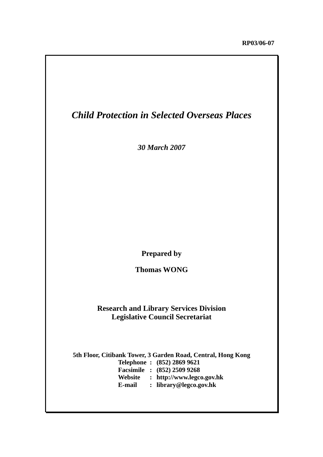## *Child Protection in Selected Overseas Places*

*30 March 2007*

**Prepared by** 

**Thomas WONG** 

## **Research and Library Services Division Legislative Council Secretariat**

**5th Floor, Citibank Tower, 3 Garden Road, Central, Hong Kong Telephone : (852) 2869 9621 Facsimile : (852) 2509 9268 Website : http://www.legco.gov.hk E-mail : library@legco.gov.hk**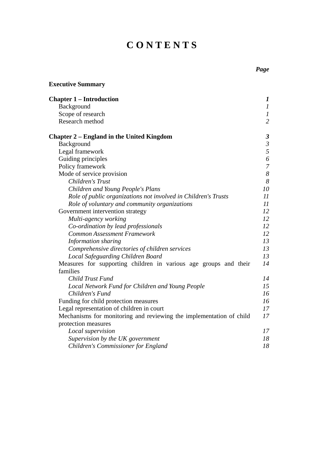# **C O N T E N T S**

| <b>Executive Summary</b>                                            |                      |
|---------------------------------------------------------------------|----------------------|
| <b>Chapter 1 – Introduction</b>                                     | $\bm{l}$             |
| Background                                                          | $\mathfrak{I}$       |
| Scope of research                                                   | $\boldsymbol{l}$     |
| Research method                                                     | $\overline{2}$       |
| <b>Chapter 2 – England in the United Kingdom</b>                    | $\boldsymbol{\beta}$ |
| Background                                                          | $\mathfrak{Z}$       |
| Legal framework                                                     | 5                    |
| Guiding principles                                                  | 6                    |
| Policy framework                                                    | $\overline{7}$       |
| Mode of service provision                                           | $\delta$             |
| Children's Trust                                                    | 8                    |
| Children and Young People's Plans                                   | 10                   |
| Role of public organizations not involved in Children's Trusts      | $_{II}$              |
| Role of voluntary and community organizations                       | 11                   |
| Government intervention strategy                                    | 12                   |
| Multi-agency working                                                | 12                   |
| Co-ordination by lead professionals                                 | 12                   |
| Common Assessment Framework                                         | 12                   |
| Information sharing                                                 | 13                   |
| Comprehensive directories of children services                      | 13                   |
| Local Safeguarding Children Board                                   | 13                   |
| Measures for supporting children in various age groups and their    | 14                   |
| families                                                            |                      |
| Child Trust Fund                                                    | 14                   |
| Local Network Fund for Children and Young People                    | 15                   |
| Children's Fund                                                     | 16                   |
| Funding for child protection measures                               | 16                   |
| Legal representation of children in court                           | 17                   |
| Mechanisms for monitoring and reviewing the implementation of child | 17                   |
| protection measures                                                 |                      |
| Local supervision                                                   | 17                   |

*Supervision by the UK government 18 Children's Commissioner for England 18*

## *Page*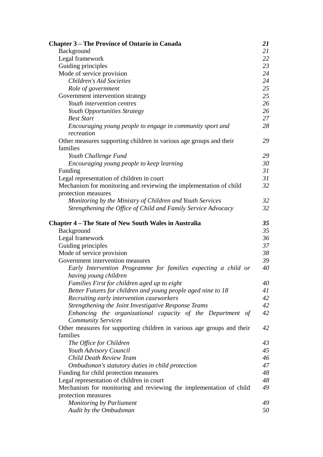| <b>Chapter 3 – The Province of Ontario in Canada</b>                                      | 21 |  |
|-------------------------------------------------------------------------------------------|----|--|
| Background                                                                                | 21 |  |
| Legal framework                                                                           |    |  |
| Guiding principles                                                                        |    |  |
| Mode of service provision                                                                 |    |  |
| <b>Children's Aid Societies</b>                                                           |    |  |
| Role of government                                                                        | 25 |  |
| Government intervention strategy                                                          | 25 |  |
| Youth intervention centres                                                                | 26 |  |
| Youth Opportunities Strategy                                                              | 26 |  |
| <b>Best Start</b>                                                                         | 27 |  |
| Encouraging young people to engage in community sport and<br>recreation                   | 28 |  |
| Other measures supporting children in various age groups and their<br>families            | 29 |  |
| Youth Challenge Fund                                                                      | 29 |  |
| Encouraging young people to keep learning                                                 | 30 |  |
| Funding                                                                                   | 31 |  |
| Legal representation of children in court                                                 | 31 |  |
| Mechanism for monitoring and reviewing the implementation of child<br>protection measures | 32 |  |
| Monitoring by the Ministry of Children and Youth Services                                 | 32 |  |
| Strengthening the Office of Child and Family Service Advocacy                             | 32 |  |
| <b>Chapter 4 – The State of New South Wales in Australia</b>                              | 35 |  |
| Background                                                                                | 35 |  |
| Legal framework                                                                           | 36 |  |
| Guiding principles                                                                        | 37 |  |
| Mode of service provision                                                                 | 38 |  |
| Government intervention measures                                                          | 39 |  |
| Early Intervention Programme for families expecting a child or<br>having young children   | 40 |  |
| Families First for children aged up to eight                                              | 40 |  |
| Better Futures for children and young people aged nine to 18                              | 41 |  |
| Recruiting early intervention caseworkers                                                 | 42 |  |
| Strengthening the Joint Investigative Response Teams                                      | 42 |  |
| Enhancing the organizational capacity of the Department of<br><b>Community Services</b>   | 42 |  |
| Other measures for supporting children in various age groups and their<br>families        | 42 |  |
| The Office for Children                                                                   | 43 |  |
| Youth Advisory Council                                                                    | 45 |  |
| Child Death Review Team                                                                   | 46 |  |
| Ombudsman's statutory duties in child protection                                          | 47 |  |
| Funding for child protection measures                                                     | 48 |  |
| Legal representation of children in court                                                 | 48 |  |
| Mechanism for monitoring and reviewing the implementation of child                        | 49 |  |
| protection measures                                                                       |    |  |
| <b>Monitoring by Parliament</b>                                                           | 49 |  |
| Audit by the Ombudsman                                                                    | 50 |  |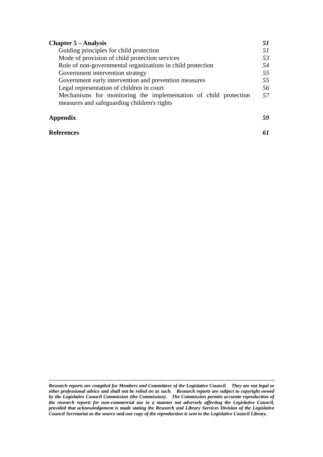| <b>Chapter 5 – Analysis</b>                                                                                     |    |
|-----------------------------------------------------------------------------------------------------------------|----|
| Guiding principles for child protection                                                                         |    |
| Mode of provision of child protection services                                                                  | 53 |
| Role of non-governmental organizations in child protection                                                      | 54 |
| Government intervention strategy                                                                                | 55 |
| Government early intervention and prevention measures                                                           | 55 |
| Legal representation of children in court                                                                       | 56 |
| Mechanisms for monitoring the implementation of child protection<br>measures and safeguarding children's rights | 57 |
| Appendix                                                                                                        |    |

#### **References** *61*

*Research reports are compiled for Members and Committees of the Legislative Council. They are not legal or other professional advice and shall not be relied on as such. Research reports are subject to copyright owned by the Legislative Council Commission (the Commission). The Commission permits accurate reproduction of the research reports for non-commercial use in a manner not adversely affecting the Legislative Council, provided that acknowledgement is made stating the Research and Library Services Division of the Legislative Council Secretariat as the source and one copy of the reproduction is sent to the Legislative Council Library.*

*-------------------------------------------------------------------------------------------------------------------------------------------*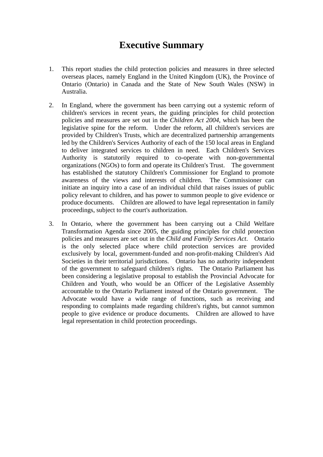## **Executive Summary**

- 1. This report studies the child protection policies and measures in three selected overseas places, namely England in the United Kingdom (UK), the Province of Ontario (Ontario) in Canada and the State of New South Wales (NSW) in Australia.
- 2. In England, where the government has been carrying out a systemic reform of children's services in recent years, the guiding principles for child protection policies and measures are set out in the *Children Act 2004*, which has been the legislative spine for the reform. Under the reform, all children's services are provided by Children's Trusts, which are decentralized partnership arrangements led by the Children's Services Authority of each of the 150 local areas in England to deliver integrated services to children in need. Each Children's Services Authority is statutorily required to co-operate with non-governmental organizations (NGOs) to form and operate its Children's Trust. The government has established the statutory Children's Commissioner for England to promote awareness of the views and interests of children. The Commissioner can initiate an inquiry into a case of an individual child that raises issues of public policy relevant to children, and has power to summon people to give evidence or produce documents. Children are allowed to have legal representation in family proceedings, subject to the court's authorization.
- 3. In Ontario, where the government has been carrying out a Child Welfare Transformation Agenda since 2005, the guiding principles for child protection policies and measures are set out in the *Child and Family Services Act*. Ontario is the only selected place where child protection services are provided exclusively by local, government-funded and non-profit-making Children's Aid Societies in their territorial jurisdictions. Ontario has no authority independent of the government to safeguard children's rights. The Ontario Parliament has been considering a legislative proposal to establish the Provincial Advocate for Children and Youth, who would be an Officer of the Legislative Assembly accountable to the Ontario Parliament instead of the Ontario government. The Advocate would have a wide range of functions, such as receiving and responding to complaints made regarding children's rights, but cannot summon people to give evidence or produce documents. Children are allowed to have legal representation in child protection proceedings.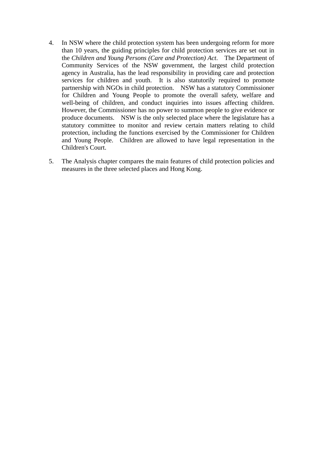- 4. In NSW where the child protection system has been undergoing reform for more than 10 years, the guiding principles for child protection services are set out in the *Children and Young Persons (Care and Protection) Act*. The Department of Community Services of the NSW government, the largest child protection agency in Australia, has the lead responsibility in providing care and protection services for children and youth. It is also statutorily required to promote partnership with NGOs in child protection. NSW has a statutory Commissioner for Children and Young People to promote the overall safety, welfare and well-being of children, and conduct inquiries into issues affecting children. However, the Commissioner has no power to summon people to give evidence or produce documents. NSW is the only selected place where the legislature has a statutory committee to monitor and review certain matters relating to child protection, including the functions exercised by the Commissioner for Children and Young People. Children are allowed to have legal representation in the Children's Court.
- 5. The Analysis chapter compares the main features of child protection policies and measures in the three selected places and Hong Kong.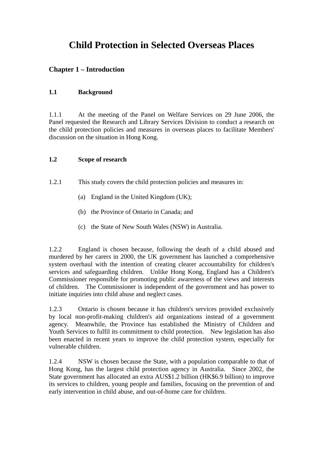## **Child Protection in Selected Overseas Places**

## **Chapter 1 – Introduction**

## **1.1 Background**

1.1.1 At the meeting of the Panel on Welfare Services on 29 June 2006, the Panel requested the Research and Library Services Division to conduct a research on the child protection policies and measures in overseas places to facilitate Members' discussion on the situation in Hong Kong.

#### **1.2 Scope of research**

1.2.1 This study covers the child protection policies and measures in:

- (a) England in the United Kingdom (UK);
- (b) the Province of Ontario in Canada; and
- (c) the State of New South Wales (NSW) in Australia.

1.2.2 England is chosen because, following the death of a child abused and murdered by her carers in 2000, the UK government has launched a comprehensive system overhaul with the intention of creating clearer accountability for children's services and safeguarding children. Unlike Hong Kong, England has a Children's Commissioner responsible for promoting public awareness of the views and interests of children. The Commissioner is independent of the government and has power to initiate inquiries into child abuse and neglect cases.

1.2.3 Ontario is chosen because it has children's services provided exclusively by local non-profit-making children's aid organizations instead of a government agency. Meanwhile, the Province has established the Ministry of Children and Youth Services to fulfil its commitment to child protection. New legislation has also been enacted in recent years to improve the child protection system, especially for vulnerable children.

1.2.4 NSW is chosen because the State, with a population comparable to that of Hong Kong, has the largest child protection agency in Australia. Since 2002, the State government has allocated an extra AUS\$1.2 billion (HK\$6.9 billion) to improve its services to children, young people and families, focusing on the prevention of and early intervention in child abuse, and out-of-home care for children.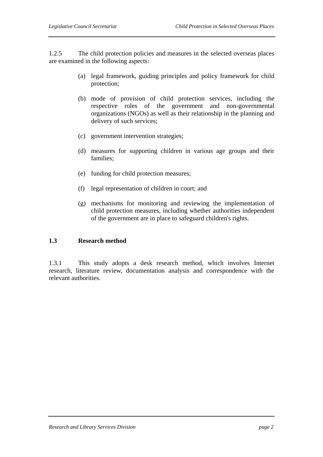1.2.5 The child protection policies and measures in the selected overseas places are examined in the following aspects:

- (a) legal framework, guiding principles and policy framework for child protection;
- (b) mode of provision of child protection services, including the respective roles of the government and non-governmental organizations (NGOs) as well as their relationship in the planning and delivery of such services;
- (c) government intervention strategies;
- (d) measures for supporting children in various age groups and their families;
- (e) funding for child protection measures;
- (f) legal representation of children in court; and
- (g) mechanisms for monitoring and reviewing the implementation of child protection measures, including whether authorities independent of the government are in place to safeguard children's rights.

#### **1.3 Research method**

1.3.1 This study adopts a desk research method, which involves Internet research, literature review, documentation analysis and correspondence with the relevant authorities.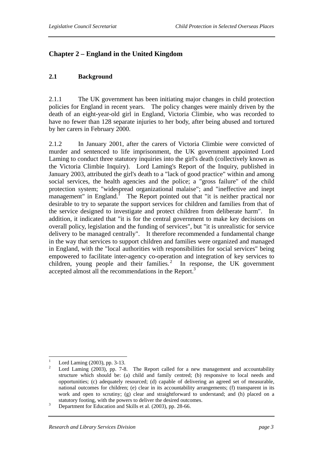## **Chapter 2 – England in the United Kingdom**

#### **2.1 Background**

2.1.1 The UK government has been initiating major changes in child protection policies for England in recent years. The policy changes were mainly driven by the death of an eight-year-old girl in England, Victoria Climbie, who was recorded to have no fewer than 128 separate injuries to her body, after being abused and tortured by her carers in February 2000.

2.1.2 In January 2001, after the carers of Victoria Climbie were convicted of murder and sentenced to life imprisonment, the UK government appointed Lord Laming to conduct three statutory inquiries into the girl's death (collectively known as the Victoria Climbie Inquiry). Lord Laming's Report of the Inquiry, published in January 2003, attributed the girl's death to a "lack of good practice" within and among social services, the health agencies and the police; a "gross failure" of the child protection system; "widespread organizational malaise"; and "ineffective and inept management" in England. $\frac{1}{1}$  The Report pointed out that "it is neither practical nor desirable to try to separate the support services for children and families from that of the service designed to investigate and protect children from deliberate harm". In addition, it indicated that "it is for the central government to make key decisions on overall policy, legislation and the funding of services", but "it is unrealistic for service delivery to be managed centrally". It therefore recommended a fundamental change in the way that services to support children and families were organized and managed in England, with the "local authorities with responsibilities for social services" being empowered to facilitate inter-agency co-operation and integration of key services to children, young people and their families.<sup>2</sup> In response, the UK government accepted almost all the recommendations in the Report.<sup>3</sup>

 $\frac{1}{1}$ Lord Laming (2003), pp. 3-13.

<sup>2</sup> Lord Laming (2003), pp. 7-8. The Report called for a new management and accountability structure which should be: (a) child and family centred; (b) responsive to local needs and opportunities; (c) adequately resourced; (d) capable of delivering an agreed set of measurable, national outcomes for children; (e) clear in its accountability arrangements; (f) transparent in its work and open to scrutiny; (g) clear and straightforward to understand; and (h) placed on a statutory footing, with the powers to deliver the desired outcomes.<br> $\frac{3}{2}$  Department for Education and Shille stal. (2002) are 28.66

Department for Education and Skills et al. (2003), pp. 28-66.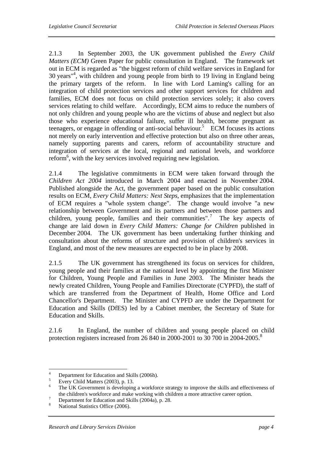2.1.3 In September 2003, the UK government published the *Every Child Matters (ECM)* Green Paper for public consultation in England. The framework set out in ECM is regarded as "the biggest reform of child welfare services in England for 30 years"4 , with children and young people from birth to 19 living in England being the primary targets of the reform. In line with Lord Laming's calling for an integration of child protection services and other support services for children and families, ECM does not focus on child protection services solely; it also covers services relating to child welfare. Accordingly, ECM aims to reduce the numbers of not only children and young people who are the victims of abuse and neglect but also those who experience educational failure, suffer ill health, become pregnant as teenagers, or engage in offending or anti-social behaviour.<sup>5</sup> ECM focuses its actions not merely on early intervention and effective protection but also on three other areas, namely supporting parents and carers, reform of accountability structure and integration of services at the local, regional and national levels, and workforce reform<sup>6</sup>, with the key services involved requiring new legislation.

2.1.4 The legislative commitments in ECM were taken forward through the *Children Act 2004* introduced in March 2004 and enacted in November 2004. Published alongside the Act, the government paper based on the public consultation results on ECM, *Every Child Matters: Next Steps*, emphasizes that the implementation of ECM requires a "whole system change". The change would involve "a new relationship between Government and its partners and between those partners and children, young people, families and their communities".<sup>7</sup> The key aspects of change are laid down in *Every Child Matters: Change for Children* published in December 2004. The UK government has been undertaking further thinking and consultation about the reforms of structure and provision of children's services in England, and most of the new measures are expected to be in place by 2008.

2.1.5 The UK government has strengthened its focus on services for children, young people and their families at the national level by appointing the first Minister for Children, Young People and Families in June 2003. The Minister heads the newly created Children, Young People and Families Directorate (CYPFD), the staff of which are transferred from the Department of Health, Home Office and Lord Chancellor's Department. The Minister and CYPFD are under the Department for Education and Skills (DfES) led by a Cabinet member, the Secretary of State for Education and Skills.

2.1.6 In England, the number of children and young people placed on child protection registers increased from 26 840 in 2000-2001 to 30 700 in 2004-2005.<sup>8</sup>

 $\frac{1}{4}$ Department for Education and Skills (2006h).

<sup>5</sup> Every Child Matters (2003), p. 13.

<sup>6</sup> The UK Government is developing a workforce strategy to improve the skills and effectiveness of the children's workforce and make working with children a more attractive career option.

Department for Education and Skills (2004a), p. 28.

<sup>8</sup> National Statistics Office (2006).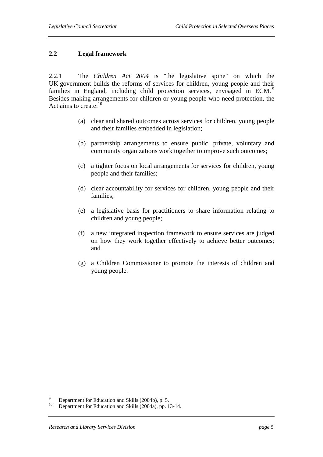#### **2.2 Legal framework**

2.2.1 The *Children Act 2004* is "the legislative spine" on which the UK government builds the reforms of services for children, young people and their families in England, including child protection services, envisaged in ECM.<sup>9</sup> Besides making arrangements for children or young people who need protection, the Act aims to create:<sup>10</sup>

- (a) clear and shared outcomes across services for children, young people and their families embedded in legislation;
- (b) partnership arrangements to ensure public, private, voluntary and community organizations work together to improve such outcomes;
- (c) a tighter focus on local arrangements for services for children, young people and their families;
- (d) clear accountability for services for children, young people and their families;
- (e) a legislative basis for practitioners to share information relating to children and young people;
- (f) a new integrated inspection framework to ensure services are judged on how they work together effectively to achieve better outcomes; and
- (g) a Children Commissioner to promote the interests of children and young people.

 $\overline{a}$ 

<sup>9</sup> <sup>9</sup> Department for Education and Skills (2004b), p. 5.<br><sup>10</sup> Department for Education and Skills (2004e), pp. 1.

Department for Education and Skills (2004a), pp. 13-14.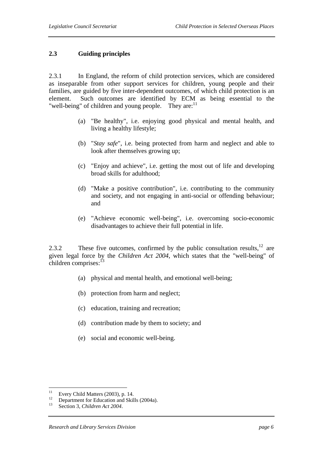#### **2.3 Guiding principles**

2.3.1 In England, the reform of child protection services, which are considered as inseparable from other support services for children, young people and their families, are guided by five inter-dependent outcomes, of which child protection is an element. Such outcomes are identified by ECM as being essential to the "well-being" of children and young people. They are: $11$ 

- (a) "Be healthy", i.e. enjoying good physical and mental health, and living a healthy lifestyle;
- (b) "*Stay safe*", i.e. being protected from harm and neglect and able to look after themselves growing up;
- (c) "Enjoy and achieve", i.e. getting the most out of life and developing broad skills for adulthood;
- (d) "Make a positive contribution", i.e. contributing to the community and society, and not engaging in anti-social or offending behaviour; and
- (e) "Achieve economic well-being", i.e. overcoming socio-economic disadvantages to achieve their full potential in life.

2.3.2 These five outcomes, confirmed by the public consultation results,  $12$  are given legal force by the *Children Act 2004*, which states that the "well-being" of children comprises: $13$ 

- (a) physical and mental health, and emotional well-being;
- (b) protection from harm and neglect;
- (c) education, training and recreation;
- (d) contribution made by them to society; and
- (e) social and economic well-being.

 $11 -$ <sup>11</sup> Every Child Matters (2003), p. 14.<br><sup>12</sup> Exportment for Education and Shill

<sup>&</sup>lt;sup>12</sup> Department for Education and Skills (2004a).

Section 3, *Children Act 2004*.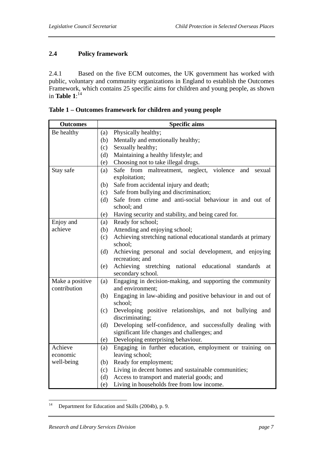## **2.4 Policy framework**

2.4.1 Based on the five ECM outcomes, the UK government has worked with public, voluntary and community organizations in England to establish the Outcomes Framework, which contains 25 specific aims for children and young people, as shown in **Table 1**:<sup>14</sup>

| <b>Outcomes</b> | <b>Specific aims</b>                                                           |
|-----------------|--------------------------------------------------------------------------------|
| Be healthy      | Physically healthy;<br>(a)                                                     |
|                 | Mentally and emotionally healthy;<br>(b)                                       |
|                 | Sexually healthy;<br>(c)                                                       |
|                 | Maintaining a healthy lifestyle; and<br>(d)                                    |
|                 | Choosing not to take illegal drugs.<br>(e)                                     |
| Stay safe       | violence<br>Safe<br>from<br>maltreatment, neglect,<br>and<br>sexual<br>(a)     |
|                 | exploitation;                                                                  |
|                 | Safe from accidental injury and death;<br>(b)                                  |
|                 | Safe from bullying and discrimination;<br>(c)                                  |
|                 | Safe from crime and anti-social behaviour in and out of<br>(d)                 |
|                 | school; and                                                                    |
|                 | Having security and stability, and being cared for.<br>(e)                     |
| Enjoy and       | Ready for school;<br>(a)                                                       |
| achieve         | Attending and enjoying school;<br>(b)                                          |
|                 | Achieving stretching national educational standards at primary<br>(c)          |
|                 | school;                                                                        |
|                 | Achieving personal and social development, and enjoying<br>(d)                 |
|                 | recreation; and                                                                |
|                 | Achieving stretching national educational<br>(e)<br>standards<br>at            |
|                 | secondary school.                                                              |
| Make a positive | Engaging in decision-making, and supporting the community<br>(a)               |
| contribution    | and environment;                                                               |
|                 | Engaging in law-abiding and positive behaviour in and out of<br>(b)<br>school; |
|                 | Developing positive relationships, and not bullying and<br>(c)                 |
|                 | discriminating;                                                                |
|                 | Developing self-confidence, and successfully dealing with<br>(d)               |
|                 | significant life changes and challenges; and                                   |
|                 | Developing enterprising behaviour.<br>(e)                                      |
| Achieve         | Engaging in further education, employment or training on<br>(a)                |
| economic        | leaving school;                                                                |
| well-being      | Ready for employment;<br>(b)                                                   |
|                 | Living in decent homes and sustainable communities;<br>(c)                     |
|                 | (d)<br>Access to transport and material goods; and                             |
|                 | Living in households free from low income.<br>(e)                              |

**Table 1 – Outcomes framework for children and young people** 

 $14$ Department for Education and Skills (2004b), p. 9.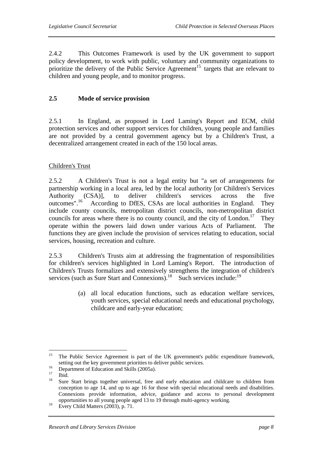2.4.2 This Outcomes Framework is used by the UK government to support policy development, to work with public, voluntary and community organizations to prioritize the delivery of the Public Service Agreement<sup>15</sup> targets that are relevant to children and young people, and to monitor progress.

#### **2.5 Mode of service provision**

2.5.1 In England, as proposed in Lord Laming's Report and ECM, child protection services and other support services for children, young people and families are not provided by a central government agency but by a Children's Trust, a decentralized arrangement created in each of the 150 local areas.

#### Children's Trust

2.5.2 A Children's Trust is not a legal entity but "a set of arrangements for partnership working in a local area, led by the local authority [or Children's Services Authority (CSA)], to deliver children's services across the five outcomes".<sup>16</sup> According to DfES, CSAs are local authorities in England. They include county councils, metropolitan district councils, non-metropolitan district councils for areas where there is no county council, and the city of London.<sup>17</sup> They operate within the powers laid down under various Acts of Parliament. The functions they are given include the provision of services relating to education, social services, housing, recreation and culture.

2.5.3 Children's Trusts aim at addressing the fragmentation of responsibilities for children's services highlighted in Lord Laming's Report. The introduction of Children's Trusts formalizes and extensively strengthens the integration of children's services (such as Sure Start and Connexions).<sup>18</sup> Such services include:<sup>19</sup>

> (a) all local education functions, such as education welfare services, youth services, special educational needs and educational psychology, childcare and early-year education;

<sup>15</sup> 15 The Public Service Agreement is part of the UK government's public expenditure framework, setting out the key government priorities to deliver public services.<br>
Department of Education and Skills (2005a).

 $\frac{17}{18}$  Ibid.

Sure Start brings together universal, free and early education and childcare to children from conception to age 14, and up to age 16 for those with special educational needs and disabilities. Connexions provide information, advice, guidance and access to personal development opportunities to all young people aged 13 to 19 through multi-agency working.

 $19$  Every Child Matters (2003), p. 71.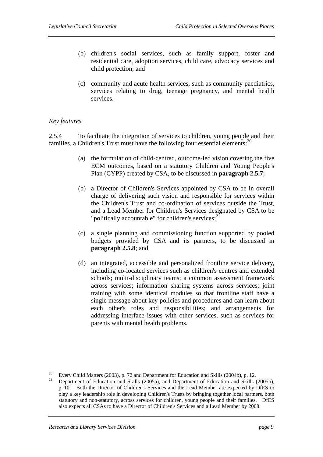- (b) children's social services, such as family support, foster and residential care, adoption services, child care, advocacy services and child protection; and
- (c) community and acute health services, such as community paediatrics, services relating to drug, teenage pregnancy, and mental health services.

#### *Key features*

2.5.4 To facilitate the integration of services to children, young people and their families, a Children's Trust must have the following four essential elements:<sup>20</sup>

- (a) the formulation of child-centred, outcome-led vision covering the five ECM outcomes, based on a statutory Children and Young People's Plan (CYPP) created by CSA, to be discussed in **paragraph 2.5.7**;
- (b) a Director of Children's Services appointed by CSA to be in overall charge of delivering such vision and responsible for services within the Children's Trust and co-ordination of services outside the Trust, and a Lead Member for Children's Services designated by CSA to be "politically accountable" for children's services; $^{21}$
- (c) a single planning and commissioning function supported by pooled budgets provided by CSA and its partners, to be discussed in **paragraph 2.5.8**; and
- (d) an integrated, accessible and personalized frontline service delivery, including co-located services such as children's centres and extended schools; multi-disciplinary teams; a common assessment framework across services; information sharing systems across services; joint training with some identical modules so that frontline staff have a single message about key policies and procedures and can learn about each other's roles and responsibilities; and arrangements for addressing interface issues with other services, such as services for parents with mental health problems.

 $20\degree$ 

<sup>&</sup>lt;sup>20</sup> Every Child Matters (2003), p. 72 and Department for Education and Skills (2004b), p. 12.<br><sup>21</sup> Department of Education and Skills (2005a), and Department of Education and Skills (2005b), p. 10. Both the Director of Children's Services and the Lead Member are expected by DfES to play a key leadership role in developing Children's Trusts by bringing together local partners, both statutory and non-statutory, across services for children, young people and their families. DfES also expects all CSAs to have a Director of Children's Services and a Lead Member by 2008.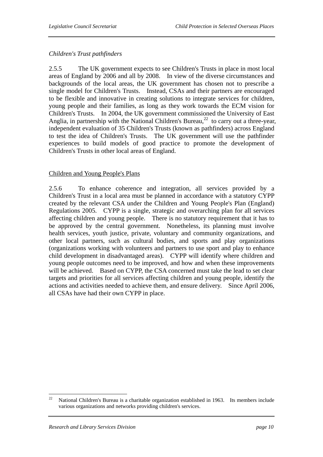### *Children's Trust pathfinders*

2.5.5 The UK government expects to see Children's Trusts in place in most local areas of England by 2006 and all by 2008. In view of the diverse circumstances and backgrounds of the local areas, the UK government has chosen not to prescribe a single model for Children's Trusts. Instead, CSAs and their partners are encouraged to be flexible and innovative in creating solutions to integrate services for children, young people and their families, as long as they work towards the ECM vision for Children's Trusts. In 2004, the UK government commissioned the University of East Anglia, in partnership with the National Children's Bureau,<sup>22</sup> to carry out a three-year, independent evaluation of 35 Children's Trusts (known as pathfinders) across England to test the idea of Children's Trusts. The UK government will use the pathfinder experiences to build models of good practice to promote the development of Children's Trusts in other local areas of England.

#### Children and Young People's Plans

2.5.6 To enhance coherence and integration, all services provided by a Children's Trust in a local area must be planned in accordance with a statutory CYPP created by the relevant CSA under the Children and Young People's Plan (England) Regulations 2005. CYPP is a single, strategic and overarching plan for all services affecting children and young people. There is no statutory requirement that it has to be approved by the central government. Nonetheless, its planning must involve health services, youth justice, private, voluntary and community organizations, and other local partners, such as cultural bodies, and sports and play organizations (organizations working with volunteers and partners to use sport and play to enhance child development in disadvantaged areas). CYPP will identify where children and young people outcomes need to be improved, and how and when these improvements will be achieved. Based on CYPP, the CSA concerned must take the lead to set clear targets and priorities for all services affecting children and young people, identify the actions and activities needed to achieve them, and ensure delivery. Since April 2006, all CSAs have had their own CYPP in place.

 $22$ 22 National Children's Bureau is a charitable organization established in 1963. Its members include various organizations and networks providing children's services.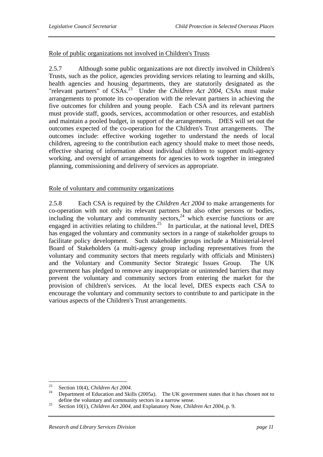#### Role of public organizations not involved in Children's Trusts

2.5.7 Although some public organizations are not directly involved in Children's Trusts, such as the police, agencies providing services relating to learning and skills, health agencies and housing departments, they are statutorily designated as the "relevant partners" of CSAs.<sup>23</sup> Under the *Children Act 2004*, CSAs must make arrangements to promote its co-operation with the relevant partners in achieving the five outcomes for children and young people. Each CSA and its relevant partners must provide staff, goods, services, accommodation or other resources, and establish and maintain a pooled budget, in support of the arrangements. DfES will set out the outcomes expected of the co-operation for the Children's Trust arrangements. The outcomes include: effective working together to understand the needs of local children, agreeing to the contribution each agency should make to meet those needs, effective sharing of information about individual children to support multi-agency working, and oversight of arrangements for agencies to work together in integrated planning, commissioning and delivery of services as appropriate.

#### Role of voluntary and community organizations

2.5.8 Each CSA is required by the *Children Act 2004* to make arrangements for co-operation with not only its relevant partners but also other persons or bodies, including the voluntary and community sectors, $24$  which exercise functions or are engaged in activities relating to children.<sup>25</sup> In particular, at the national level, DfES has engaged the voluntary and community sectors in a range of stakeholder groups to facilitate policy development. Such stakeholder groups include a Ministerial-level Board of Stakeholders (a multi-agency group including representatives from the voluntary and community sectors that meets regularly with officials and Ministers) and the Voluntary and Community Sector Strategic Issues Group. The UK government has pledged to remove any inappropriate or unintended barriers that may prevent the voluntary and community sectors from entering the market for the provision of children's services. At the local level, DfES expects each CSA to encourage the voluntary and community sectors to contribute to and participate in the various aspects of the Children's Trust arrangements.

 $23$ 

<sup>&</sup>lt;sup>23</sup> Section 10(4), *Children Act 2004*.<br><sup>24</sup> Department of Education and Skills (2005a). The UK government states that it has chosen not to

define the voluntary and community sectors in a narrow sense.<br><sup>25</sup> Section 10(1), *Children Act 2004*, and Explanatory Note, *Children Act 2004*, p. 9.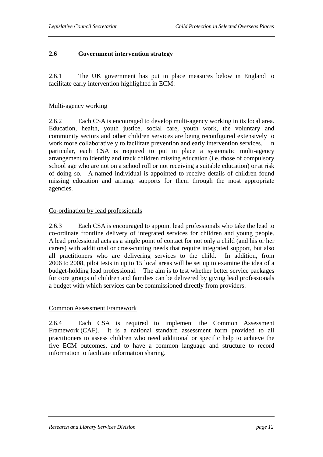#### **2.6 Government intervention strategy**

2.6.1 The UK government has put in place measures below in England to facilitate early intervention highlighted in ECM:

#### Multi-agency working

2.6.2 Each CSA is encouraged to develop multi-agency working in its local area. Education, health, youth justice, social care, youth work, the voluntary and community sectors and other children services are being reconfigured extensively to work more collaboratively to facilitate prevention and early intervention services. In particular, each CSA is required to put in place a systematic multi-agency arrangement to identify and track children missing education (i.e. those of compulsory school age who are not on a school roll or not receiving a suitable education) or at risk of doing so. A named individual is appointed to receive details of children found missing education and arrange supports for them through the most appropriate agencies.

#### Co-ordination by lead professionals

2.6.3 Each CSA is encouraged to appoint lead professionals who take the lead to co-ordinate frontline delivery of integrated services for children and young people. A lead professional acts as a single point of contact for not only a child (and his or her carers) with additional or cross-cutting needs that require integrated support, but also all practitioners who are delivering services to the child. In addition, from 2006 to 2008, pilot tests in up to 15 local areas will be set up to examine the idea of a budget-holding lead professional. The aim is to test whether better service packages for core groups of children and families can be delivered by giving lead professionals a budget with which services can be commissioned directly from providers.

#### Common Assessment Framework

2.6.4 Each CSA is required to implement the Common Assessment Framework (CAF). It is a national standard assessment form provided to all practitioners to assess children who need additional or specific help to achieve the five ECM outcomes, and to have a common language and structure to record information to facilitate information sharing.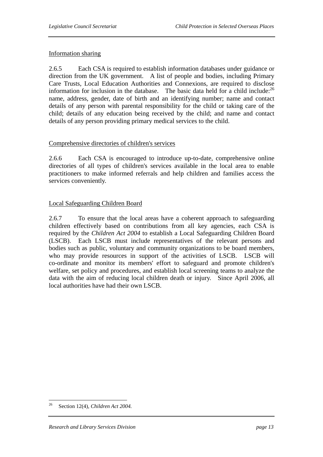#### Information sharing

2.6.5 Each CSA is required to establish information databases under guidance or direction from the UK government. A list of people and bodies, including Primary Care Trusts, Local Education Authorities and Connexions, are required to disclose information for inclusion in the database. The basic data held for a child include: $^{26}$ name, address, gender, date of birth and an identifying number; name and contact details of any person with parental responsibility for the child or taking care of the child; details of any education being received by the child; and name and contact details of any person providing primary medical services to the child.

#### Comprehensive directories of children's services

2.6.6 Each CSA is encouraged to introduce up-to-date, comprehensive online directories of all types of children's services available in the local area to enable practitioners to make informed referrals and help children and families access the services conveniently.

#### Local Safeguarding Children Board

2.6.7 To ensure that the local areas have a coherent approach to safeguarding children effectively based on contributions from all key agencies, each CSA is required by the *Children Act 2004* to establish a Local Safeguarding Children Board (LSCB). Each LSCB must include representatives of the relevant persons and bodies such as public, voluntary and community organizations to be board members, who may provide resources in support of the activities of LSCB. LSCB will co-ordinate and monitor its members' effort to safeguard and promote children's welfare, set policy and procedures, and establish local screening teams to analyze the data with the aim of reducing local children death or injury. Since April 2006, all local authorities have had their own LSCB.

<sup>26</sup> 26 Section 12(4), *Children Act 2004.*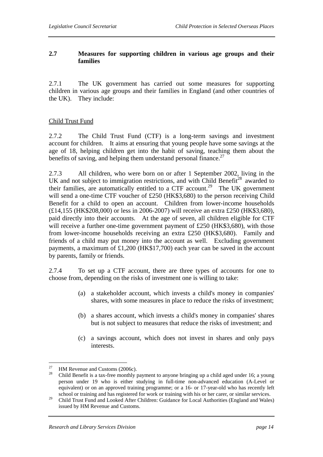## **2.7 Measures for supporting children in various age groups and their families**

2.7.1 The UK government has carried out some measures for supporting children in various age groups and their families in England (and other countries of the UK). They include:

#### Child Trust Fund

2.7.2 The Child Trust Fund (CTF) is a long-term savings and investment account for children. It aims at ensuring that young people have some savings at the age of 18, helping children get into the habit of saving, teaching them about the benefits of saving, and helping them understand personal finance. $^{27}$ 

2.7.3 All children, who were born on or after 1 September 2002, living in the UK and not subject to immigration restrictions, and with Child Benefit<sup>28</sup> awarded to their families, are automatically entitled to a  $CTF$  account.<sup>29</sup> The UK government will send a one-time CTF voucher of £250 (HK\$3,680) to the person receiving Child Benefit for a child to open an account. Children from lower-income households (£14,155 (HK\$208,000) or less in 2006-2007) will receive an extra £250 (HK\$3,680), paid directly into their accounts. At the age of seven, all children eligible for CTF will receive a further one-time government payment of £250 (HK\$3,680), with those from lower-income households receiving an extra £250 (HK\$3,680). Family and friends of a child may put money into the account as well. Excluding government payments, a maximum of £1,200 (HK\$17,700) each year can be saved in the account by parents, family or friends.

2.7.4 To set up a CTF account, there are three types of accounts for one to choose from, depending on the risks of investment one is willing to take:

- (a) a stakeholder account, which invests a child's money in companies' shares, with some measures in place to reduce the risks of investment;
- (b) a shares account, which invests a child's money in companies' shares but is not subject to measures that reduce the risks of investment; and
- (c) a savings account, which does not invest in shares and only pays interests.

<sup>27</sup> <sup>27</sup> HM Revenue and Customs (2006c).

<sup>28</sup> Child Benefit is a tax-free monthly payment to anyone bringing up a child aged under 16; a young person under 19 who is either studying in full-time non-advanced education (A-Level or equivalent) or on an approved training programme; or a 16- or 17-year-old who has recently left school or training and has registered for work or training with his or her carer, or similar services.

<sup>&</sup>lt;sup>29</sup> Child Trust Fund and Looked After Children: Guidance for Local Authorities (England and Wales) issued by HM Revenue and Customs.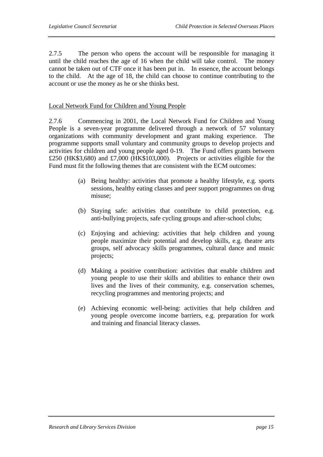2.7.5 The person who opens the account will be responsible for managing it until the child reaches the age of 16 when the child will take control. The money cannot be taken out of CTF once it has been put in. In essence, the account belongs to the child. At the age of 18, the child can choose to continue contributing to the account or use the money as he or she thinks best.

#### Local Network Fund for Children and Young People

2.7.6 Commencing in 2001, the Local Network Fund for Children and Young People is a seven-year programme delivered through a network of 57 voluntary organizations with community development and grant making experience. The programme supports small voluntary and community groups to develop projects and activities for children and young people aged 0-19. The Fund offers grants between £250 (HK\$3,680) and £7,000 (HK\$103,000). Projects or activities eligible for the Fund must fit the following themes that are consistent with the ECM outcomes:

- (a) Being healthy: activities that promote a healthy lifestyle, e.g. sports sessions, healthy eating classes and peer support programmes on drug misuse;
- (b) Staying safe: activities that contribute to child protection, e.g. anti-bullying projects, safe cycling groups and after-school clubs;
- (c) Enjoying and achieving: activities that help children and young people maximize their potential and develop skills, e.g. theatre arts groups, self advocacy skills programmes, cultural dance and music projects;
- (d) Making a positive contribution: activities that enable children and young people to use their skills and abilities to enhance their own lives and the lives of their community, e.g. conservation schemes, recycling programmes and mentoring projects; and
- (e) Achieving economic well-being: activities that help children and young people overcome income barriers, e.g. preparation for work and training and financial literacy classes.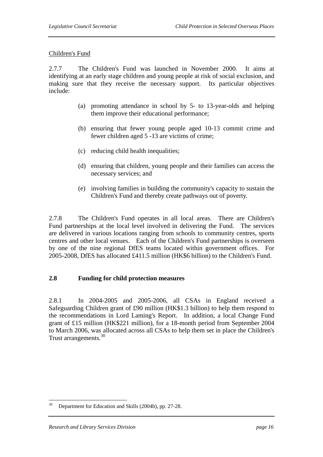#### Children's Fund

2.7.7 The Children's Fund was launched in November 2000. It aims at identifying at an early stage children and young people at risk of social exclusion, and making sure that they receive the necessary support. Its particular objectives include:

- (a) promoting attendance in school by 5- to 13-year-olds and helping them improve their educational performance;
- (b) ensuring that fewer young people aged 10-13 commit crime and fewer children aged 5 -13 are victims of crime;
- (c) reducing child health inequalities;
- (d) ensuring that children, young people and their families can access the necessary services; and
- (e) involving families in building the community's capacity to sustain the Children's Fund and thereby create pathways out of poverty.

2.7.8 The Children's Fund operates in all local areas. There are Children's Fund partnerships at the local level involved in delivering the Fund. The services are delivered in various locations ranging from schools to community centres, sports centres and other local venues. Each of the Children's Fund partnerships is overseen by one of the nine regional DfES teams located within government offices. For 2005-2008, DfES has allocated £411.5 million (HK\$6 billion) to the Children's Fund.

#### **2.8 Funding for child protection measures**

2.8.1 In 2004-2005 and 2005-2006, all CSAs in England received a Safeguarding Children grant of £90 million (HK\$1.3 billion) to help them respond to the recommendations in Lord Laming's Report. In addition, a local Change Fund grant of £15 million (HK\$221 million), for a 18-month period from September 2004 to March 2006, was allocated across all CSAs to help them set in place the Children's Trust arrangements.<sup>30</sup>

<sup>30</sup> Department for Education and Skills (2004b), pp. 27-28.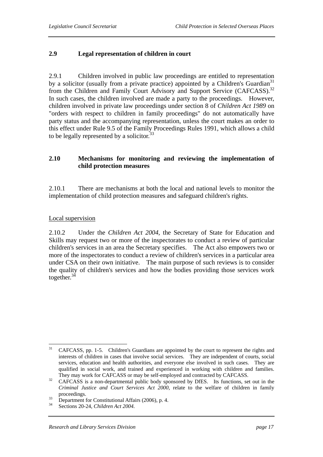### **2.9 Legal representation of children in court**

2.9.1 Children involved in public law proceedings are entitled to representation by a solicitor (usually from a private practice) appointed by a Children's Guardian<sup>31</sup> from the Children and Family Court Advisory and Support Service (CAFCASS).<sup>32</sup> In such cases, the children involved are made a party to the proceedings. However, children involved in private law proceedings under section 8 of *Children Act 1989* on "orders with respect to children in family proceedings" do not automatically have party status and the accompanying representation, unless the court makes an order to this effect under Rule 9.5 of the Family Proceedings Rules 1991, which allows a child to be legally represented by a solicitor. $33$ 

#### **2.10 Mechanisms for monitoring and reviewing the implementation of child protection measures**

2.10.1 There are mechanisms at both the local and national levels to monitor the implementation of child protection measures and safeguard children's rights.

#### Local supervision

2.10.2 Under the *Children Act 2004*, the Secretary of State for Education and Skills may request two or more of the inspectorates to conduct a review of particular children's services in an area the Secretary specifies. The Act also empowers two or more of the inspectorates to conduct a review of children's services in a particular area under CSA on their own initiative. The main purpose of such reviews is to consider the quality of children's services and how the bodies providing those services work together.<sup>34</sup>

 $31$ 31 CAFCASS, pp. 1-5. Children's Guardians are appointed by the court to represent the rights and interests of children in cases that involve social services. They are independent of courts, social services, education and health authorities, and everyone else involved in such cases. They are qualified in social work, and trained and experienced in working with children and families.

They may work for CAFCASS or may be self-employed and contracted by CAFCASS.<br><sup>32</sup> CAFCASS is a non-departmental public body sponsored by DfES. Its functions, set out in the *Criminal Justice and Court Services Act 2000*, relate to the welfare of children in family

proceedings.<br>
33 Department for Constitutional Affairs (2006), p. 4.<br>
34 Sections 20.24 Children A tt 2004.

Sections 20-24, *Children Act 2004*.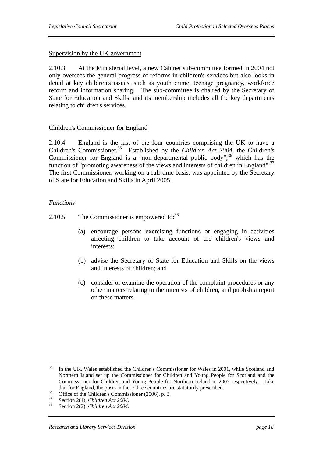#### Supervision by the UK government

2.10.3 At the Ministerial level, a new Cabinet sub-committee formed in 2004 not only oversees the general progress of reforms in children's services but also looks in detail at key children's issues, such as youth crime, teenage pregnancy, workforce reform and information sharing. The sub-committee is chaired by the Secretary of State for Education and Skills, and its membership includes all the key departments relating to children's services.

#### Children's Commissioner for England

2.10.4 England is the last of the four countries comprising the UK to have a Children's Commissioner.<sup>35</sup> Established by the *Children Act 2004*, the Children's Commissioner for England is a "non-departmental public body", $36$  which has the function of "promoting awareness of the views and interests of children in England". $37$ The first Commissioner, working on a full-time basis, was appointed by the Secretary of State for Education and Skills in April 2005.

#### *Functions*

- 2.10.5 The Commissioner is empowered to:  $38$ 
	- (a) encourage persons exercising functions or engaging in activities affecting children to take account of the children's views and interests;
	- (b) advise the Secretary of State for Education and Skills on the views and interests of children; and
	- (c) consider or examine the operation of the complaint procedures or any other matters relating to the interests of children, and publish a report on these matters.

<sup>35</sup> 35 In the UK, Wales established the Children's Commissioner for Wales in 2001, while Scotland and Northern Island set up the Commissioner for Children and Young People for Scotland and the Commissioner for Children and Young People for Northern Ireland in 2003 respectively. Like that for England, the posts in these three countries are statutorily prescribed.<br>
Office of the Children's Commissioner (2006), p. 3.<br>  $3^7$ 

<sup>37</sup> Section 2(1), *Children Act 2004*. 38 Section 2(2), *Children Act 2004*.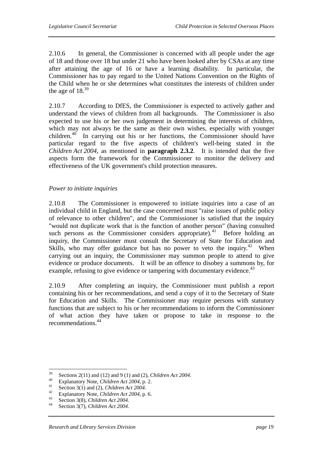2.10.6 In general, the Commissioner is concerned with all people under the age of 18 and those over 18 but under 21 who have been looked after by CSAs at any time after attaining the age of 16 or have a learning disability. In particular, the Commissioner has to pay regard to the United Nations Convention on the Rights of the Child when he or she determines what constitutes the interests of children under the age of  $18^{39}$ 

2.10.7 According to DfES, the Commissioner is expected to actively gather and understand the views of children from all backgrounds. The Commissioner is also expected to use his or her own judgement in determining the interests of children, which may not always be the same as their own wishes, especially with younger children.<sup>40</sup> In carrying out his or her functions, the Commissioner should have particular regard to the five aspects of children's well-being stated in the *Children Act 2004*, as mentioned in **paragraph 2.3.2**. It is intended that the five aspects form the framework for the Commissioner to monitor the delivery and effectiveness of the UK government's child protection measures.

#### *Power to initiate inquiries*

2.10.8 The Commissioner is empowered to initiate inquiries into a case of an individual child in England, but the case concerned must "raise issues of public policy of relevance to other children", and the Commissioner is satisfied that the inquiry "would not duplicate work that is the function of another person" (having consulted such persons as the Commissioner considers appropriate).<sup>41</sup> Before holding an inquiry, the Commissioner must consult the Secretary of State for Education and Skills, who may offer guidance but has no power to veto the inquiry.<sup>42</sup> When carrying out an inquiry, the Commissioner may summon people to attend to give evidence or produce documents. It will be an offence to disobey a summons by, for example, refusing to give evidence or tampering with documentary evidence.<sup>43</sup>

2.10.9 After completing an inquiry, the Commissioner must publish a report containing his or her recommendations, and send a copy of it to the Secretary of State for Education and Skills. The Commissioner may require persons with statutory functions that are subject to his or her recommendations to inform the Commissioner of what action they have taken or propose to take in response to the recommendations.44

<sup>39</sup> <sup>39</sup> Sections 2(11) and (12) and 9 (1) and (2), *Children Act* 2004.<br><sup>40</sup> Explanatory Note, *Children Act* 2004, p. 2.<br><sup>41</sup> Section 3(1) and (2), *Children Act* 2004.<br><sup>42</sup> Explanatory Note, *Children Act* 2004, p. 6.<br><sup>43</sup>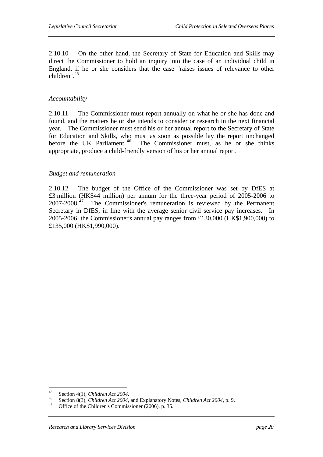2.10.10 On the other hand, the Secretary of State for Education and Skills may direct the Commissioner to hold an inquiry into the case of an individual child in England, if he or she considers that the case "raises issues of relevance to other children".45

#### *Accountability*

2.10.11 The Commissioner must report annually on what he or she has done and found, and the matters he or she intends to consider or research in the next financial year. The Commissioner must send his or her annual report to the Secretary of State for Education and Skills, who must as soon as possible lay the report unchanged before the UK Parliament.<sup>46</sup> The Commissioner must, as he or she thinks The Commissioner must, as he or she thinks appropriate, produce a child-friendly version of his or her annual report.

#### *Budget and remuneration*

2.10.12 The budget of the Office of the Commissioner was set by DfES at £3 million (HK\$44 million) per annum for the three-year period of 2005-2006 to 2007-2008.<sup>47</sup> The Commissioner's remuneration is reviewed by the Permanent Secretary in DfES, in line with the average senior civil service pay increases. In 2005-2006, the Commissioner's annual pay ranges from £130,000 (HK\$1,900,000) to £135,000 (HK\$1,990,000).

 $45$ 

<sup>45</sup> Section 4(1), *Children Act 2004*.<br>
46 Section 8(3), *Children Act 2004*, and Explanatory Notes, *Children Act 2004*, p. 9.<br>
47 Office of the Children's Commissioner (2006), p. 35.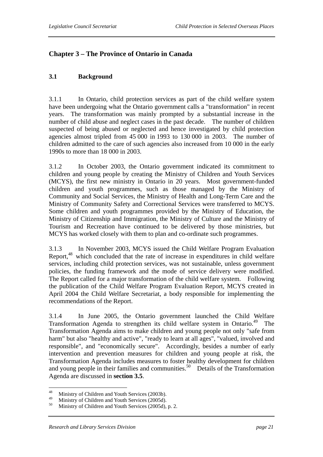## **Chapter 3 – The Province of Ontario in Canada**

#### **3.1 Background**

3.1.1 In Ontario, child protection services as part of the child welfare system have been undergoing what the Ontario government calls a "transformation" in recent years. The transformation was mainly prompted by a substantial increase in the number of child abuse and neglect cases in the past decade. The number of children suspected of being abused or neglected and hence investigated by child protection agencies almost tripled from 45 000 in 1993 to 130 000 in 2003. The number of children admitted to the care of such agencies also increased from 10 000 in the early 1990s to more than 18 000 in 2003.

3.1.2 In October 2003, the Ontario government indicated its commitment to children and young people by creating the Ministry of Children and Youth Services (MCYS), the first new ministry in Ontario in 20 years. Most government-funded children and youth programmes, such as those managed by the Ministry of Community and Social Services, the Ministry of Health and Long-Term Care and the Ministry of Community Safety and Correctional Services were transferred to MCYS. Some children and youth programmes provided by the Ministry of Education, the Ministry of Citizenship and Immigration, the Ministry of Culture and the Ministry of Tourism and Recreation have continued to be delivered by those ministries, but MCYS has worked closely with them to plan and co-ordinate such programmes.

3.1.3 In November 2003, MCYS issued the Child Welfare Program Evaluation Report,<sup>48</sup> which concluded that the rate of increase in expenditures in child welfare services, including child protection services, was not sustainable, unless government policies, the funding framework and the mode of service delivery were modified. The Report called for a major transformation of the child welfare system. Following the publication of the Child Welfare Program Evaluation Report, MCYS created in April 2004 the Child Welfare Secretariat, a body responsible for implementing the recommendations of the Report.

3.1.4 In June 2005, the Ontario government launched the Child Welfare Transformation Agenda to strengthen its child welfare system in Ontario.49 The Transformation Agenda aims to make children and young people not only "safe from harm" but also "healthy and active", "ready to learn at all ages", "valued, involved and responsible", and "economically secure". Accordingly, besides a number of early intervention and prevention measures for children and young people at risk, the Transformation Agenda includes measures to foster healthy development for children and young people in their families and communities.<sup>50</sup> Details of the Transformation Agenda are discussed in **section 3.5**.

<sup>48</sup> <sup>48</sup> Ministry of Children and Youth Services (2003b).

<sup>&</sup>lt;sup>49</sup> Ministry of Children and Youth Services (2005d).

Ministry of Children and Youth Services (2005d), p. 2.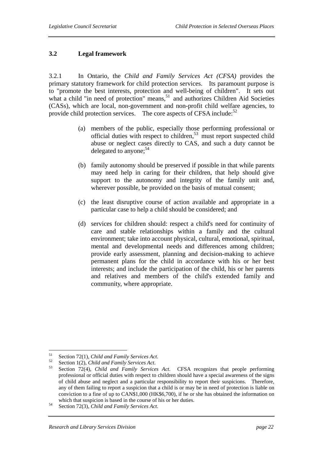#### **3.2 Legal framework**

3.2.1 In Ontario, the *Child and Family Services Act (CFSA)* provides the primary statutory framework for child protection services. Its paramount purpose is to "promote the best interests, protection and well-being of children". It sets out what a child "in need of protection" means*,* <sup>51</sup> and authorizes Children Aid Societies (CASs), which are local, non-government and non-profit child welfare agencies, to provide child protection services. The core aspects of CFSA include: $52$ 

- (a) members of the public, especially those performing professional or official duties with respect to children,<sup>53</sup> must report suspected child abuse or neglect cases directly to CAS, and such a duty cannot be delegated to anyone;  $54$
- (b) family autonomy should be preserved if possible in that while parents may need help in caring for their children, that help should give support to the autonomy and integrity of the family unit and, wherever possible, be provided on the basis of mutual consent;
- (c) the least disruptive course of action available and appropriate in a particular case to help a child should be considered; and
- (d) services for children should: respect a child's need for continuity of care and stable relationships within a family and the cultural environment; take into account physical, cultural, emotional, spiritual, mental and developmental needs and differences among children; provide early assessment, planning and decision-making to achieve permanent plans for the child in accordance with his or her best interests; and include the participation of the child, his or her parents and relatives and members of the child's extended family and community, where appropriate.

<sup>51</sup> 

<sup>51</sup> Section 72(1), *Child and Family Services Act*. 52 Section 1(2), *Child and Family Services Act*. 53 Section 72(4), *Child and Family Services Act*. CFSA recognizes that people performing professional or official duties with respect to children should have a special awareness of the signs of child abuse and neglect and a particular responsibility to report their suspicions. Therefore, any of them failing to report a suspicion that a child is or may be in need of protection is liable on conviction to a fine of up to CAN\$1,000 (HK\$6,700), if he or she has obtained the information on

which that suspicion is based in the course of his or her duties.<br>Section 72(3), *Child and Family Services Act*.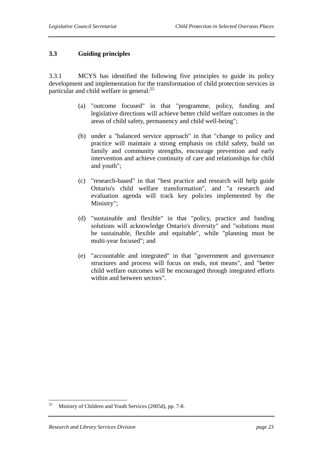#### **3.3 Guiding principles**

3.3.1 MCYS has identified the following five principles to guide its policy development and implementation for the transformation of child protection services in particular and child welfare in general:<sup>55</sup>

- (a) "outcome focused" in that "programme, policy, funding and legislative directions will achieve better child welfare outcomes in the areas of child safety, permanency and child well-being";
- (b) under a "balanced service approach" in that "change to policy and practice will maintain a strong emphasis on child safety, build on family and community strengths, encourage prevention and early intervention and achieve continuity of care and relationships for child and youth";
- (c) "research-based" in that "best practice and research will help guide Ontario's child welfare transformation", and "a research and evaluation agenda will track key policies implemented by the Ministry";
- (d) "sustainable and flexible" in that "policy, practice and funding solutions will acknowledge Ontario's diversity" and "solutions must be sustainable, flexible and equitable", while "planning must be multi-year focused"; and
- (e) "accountable and integrated" in that "government and governance structures and process will focus on ends, not means", and "better child welfare outcomes will be encouraged through integrated efforts within and between sectors".

<sup>55</sup> Ministry of Children and Youth Services (2005d), pp. 7-8.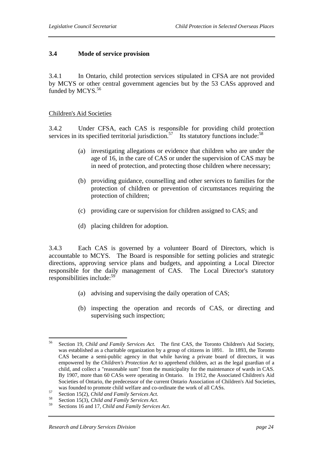#### **3.4 Mode of service provision**

3.4.1 In Ontario, child protection services stipulated in CFSA are not provided by MCYS or other central government agencies but by the 53 CASs approved and funded by MCYS.<sup>56</sup>

#### Children's Aid Societies

3.4.2 Under CFSA, each CAS is responsible for providing child protection services in its specified territorial jurisdiction.<sup>57</sup> Its statutory functions include:<sup>58</sup>

- (a) investigating allegations or evidence that children who are under the age of 16, in the care of CAS or under the supervision of CAS may be in need of protection, and protecting those children where necessary;
- (b) providing guidance, counselling and other services to families for the protection of children or prevention of circumstances requiring the protection of children;
- (c) providing care or supervision for children assigned to CAS; and
- (d) placing children for adoption.

3.4.3 Each CAS is governed by a volunteer Board of Directors, which is accountable to MCYS. The Board is responsible for setting policies and strategic directions, approving service plans and budgets, and appointing a Local Director responsible for the daily management of CAS. The Local Director's statutory responsibilities include:59

- (a) advising and supervising the daily operation of CAS;
- (b) inspecting the operation and records of CAS, or directing and supervising such inspection;

<sup>56</sup> 56 Section 19, *Child and Family Services Act.* The first CAS, the Toronto Children's Aid Society, was established as a charitable organization by a group of citizens in 1891. In 1893, the Toronto CAS became a semi-public agency in that while having a private board of directors, it was empowered by the *Children's Protection Act* to apprehend children, act as the legal guardian of a child, and collect a "reasonable sum" from the municipality for the maintenance of wards in CAS. By 1907, more than 60 CASs were operating in Ontario. In 1912, the Associated Children's Aid Societies of Ontario, the predecessor of the current Ontario Association of Children's Aid Societies, was founded to promote child welfare and co-ordinate the work of all CASs.<br>
Section 15(2), *Child and Family Services Act.*<br>
Section 15(3), *Child and Family Services Act.*<br>
Sections 16 and 17, *Child and Family Services A*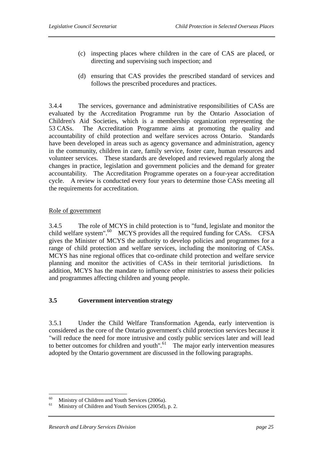- (c) inspecting places where children in the care of CAS are placed, or directing and supervising such inspection; and
- (d) ensuring that CAS provides the prescribed standard of services and follows the prescribed procedures and practices.

3.4.4 The services, governance and administrative responsibilities of CASs are evaluated by the Accreditation Programme run by the Ontario Association of Children's Aid Societies, which is a membership organization representing the 53 CASs. The Accreditation Programme aims at promoting the quality and accountability of child protection and welfare services across Ontario. Standards have been developed in areas such as agency governance and administration, agency in the community, children in care, family service, foster care, human resources and volunteer services. These standards are developed and reviewed regularly along the changes in practice, legislation and government policies and the demand for greater accountability. The Accreditation Programme operates on a four-year accreditation cycle. A review is conducted every four years to determine those CASs meeting all the requirements for accreditation.

#### Role of government

3.4.5 The role of MCYS in child protection is to "fund, legislate and monitor the child welfare system". $^{60}$  MCYS provides all the required funding for CASs. CFSA gives the Minister of MCYS the authority to develop policies and programmes for a range of child protection and welfare services, including the monitoring of CASs. MCYS has nine regional offices that co-ordinate child protection and welfare service planning and monitor the activities of CASs in their territorial jurisdictions. In addition, MCYS has the mandate to influence other ministries to assess their policies and programmes affecting children and young people.

#### **3.5 Government intervention strategy**

3.5.1 Under the Child Welfare Transformation Agenda, early intervention is considered as the core of the Ontario government's child protection services because it "will reduce the need for more intrusive and costly public services later and will lead to better outcomes for children and youth"*.* 61 The major early intervention measures adopted by the Ontario government are discussed in the following paragraphs.

<sup>60</sup> <sup>60</sup> Ministry of Children and Youth Services (2006a).

Ministry of Children and Youth Services (2005d), p. 2.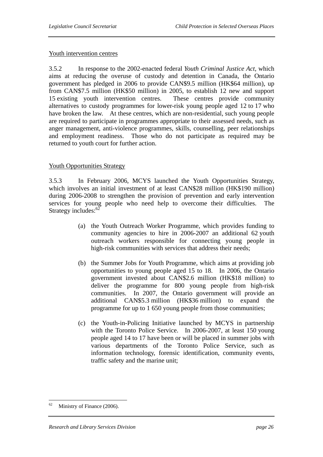#### Youth intervention centres

3.5.2 In response to the 2002-enacted federal *Youth Criminal Justice Act*, which aims at reducing the overuse of custody and detention in Canada, the Ontario government has pledged in 2006 to provide CAN\$9.5 million (HK\$64 million), up from CAN\$7.5 million (HK\$50 million) in 2005, to establish 12 new and support 15 existing youth intervention centres. These centres provide community alternatives to custody programmes for lower-risk young people aged 12 to 17 who have broken the law. At these centres, which are non-residential, such young people are required to participate in programmes appropriate to their assessed needs, such as anger management, anti-violence programmes, skills, counselling, peer relationships and employment readiness. Those who do not participate as required may be returned to youth court for further action.

#### Youth Opportunities Strategy

3.5.3 In February 2006, MCYS launched the Youth Opportunities Strategy, which involves an initial investment of at least CAN\$28 million (HK\$190 million) during 2006-2008 to strengthen the provision of prevention and early intervention services for young people who need help to overcome their difficulties. The Strategy includes:<sup>62</sup>

- (a) the Youth Outreach Worker Programme, which provides funding to community agencies to hire in 2006-2007 an additional 62 youth outreach workers responsible for connecting young people in high-risk communities with services that address their needs;
- (b) the Summer Jobs for Youth Programme, which aims at providing job opportunities to young people aged 15 to 18. In 2006, the Ontario government invested about CAN\$2.6 million (HK\$18 million) to deliver the programme for 800 young people from high-risk communities. In 2007, the Ontario government will provide an additional CAN\$5.3 million (HK\$36 million) to expand the programme for up to 1 650 young people from those communities;
- (c) the Youth-in-Policing Initiative launched by MCYS in partnership with the Toronto Police Service. In 2006-2007, at least 150 young people aged 14 to 17 have been or will be placed in summer jobs with various departments of the Toronto Police Service, such as information technology, forensic identification, community events, traffic safety and the marine unit;

<sup>62</sup> Ministry of Finance (2006).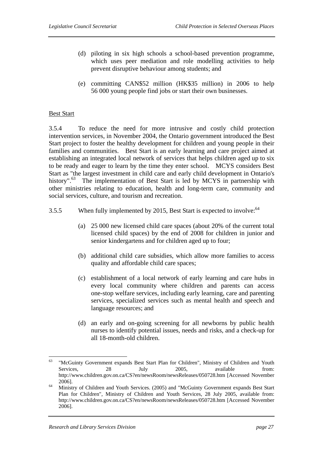- (d) piloting in six high schools a school-based prevention programme, which uses peer mediation and role modelling activities to help prevent disruptive behaviour among students; and
- (e) committing CAN\$52 million (HK\$35 million) in 2006 to help 56 000 young people find jobs or start their own businesses.

#### Best Start

3.5.4 To reduce the need for more intrusive and costly child protection intervention services, in November 2004, the Ontario government introduced the Best Start project to foster the healthy development for children and young people in their families and communities. Best Start is an early learning and care project aimed at establishing an integrated local network of services that helps children aged up to six to be ready and eager to learn by the time they enter school. MCYS considers Best Start as "the largest investment in child care and early child development in Ontario's history".<sup>63</sup> The implementation of Best Start is led by MCYS in partnership with other ministries relating to education, health and long-term care, community and social services, culture, and tourism and recreation.

- 3.5.5 When fully implemented by 2015, Best Start is expected to involve:<sup>64</sup>
	- (a) 25 000 new licensed child care spaces (about 20% of the current total licensed child spaces) by the end of 2008 for children in junior and senior kindergartens and for children aged up to four;
	- (b) additional child care subsidies, which allow more families to access quality and affordable child care spaces;
	- (c) establishment of a local network of early learning and care hubs in every local community where children and parents can access one-stop welfare services, including early learning, care and parenting services, specialized services such as mental health and speech and language resources; and
	- (d) an early and on-going screening for all newborns by public health nurses to identify potential issues, needs and risks, and a check-up for all 18-month-old children.

 $\overline{a}$ 

<sup>63 &</sup>quot;McGuinty Government expands Best Start Plan for Children", Ministry of Children and Youth Services, 28 July 2005, available from: http://www.children.gov.on.ca/CS?en/newsRoom/newsReleases/050728.htm [Accessed November 2006]. 64 Ministry of Children and Youth Services. (2005) and "McGuinty Government expands Best Start

Plan for Children", Ministry of Children and Youth Services, 28 July 2005, available from: http://www.children.gov.on.ca/CS?en/newsRoom/newsReleases/050728.htm [Accessed November 2006].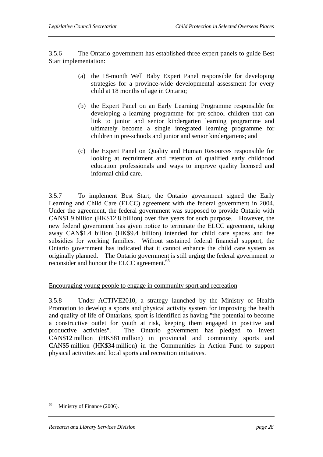3.5.6 The Ontario government has established three expert panels to guide Best Start implementation:

- (a) the 18-month Well Baby Expert Panel responsible for developing strategies for a province-wide developmental assessment for every child at 18 months of age in Ontario;
- (b) the Expert Panel on an Early Learning Programme responsible for developing a learning programme for pre-school children that can link to junior and senior kindergarten learning programme and ultimately become a single integrated learning programme for children in pre-schools and junior and senior kindergartens; and
- (c) the Expert Panel on Quality and Human Resources responsible for looking at recruitment and retention of qualified early childhood education professionals and ways to improve quality licensed and informal child care.

3.5.7 To implement Best Start, the Ontario government signed the Early Learning and Child Care (ELCC) agreement with the federal government in 2004. Under the agreement, the federal government was supposed to provide Ontario with CAN\$1.9 billion (HK\$12.8 billion) over five years for such purpose. However, the new federal government has given notice to terminate the ELCC agreement, taking away CAN\$1.4 billion (HK\$9.4 billion) intended for child care spaces and fee subsidies for working families. Without sustained federal financial support, the Ontario government has indicated that it cannot enhance the child care system as originally planned. The Ontario government is still urging the federal government to reconsider and honour the ELCC agreement.<sup>65</sup>

#### Encouraging young people to engage in community sport and recreation

3.5.8 Under ACTIVE2010, a strategy launched by the Ministry of Health Promotion to develop a sports and physical activity system for improving the health and quality of life of Ontarians, sport is identified as having "the potential to become a constructive outlet for youth at risk, keeping them engaged in positive and productive activities". The Ontario government has pledged to invest CAN\$12 million (HK\$81 million) in provincial and community sports and CAN\$5 million (HK\$34 million) in the Communities in Action Fund to support physical activities and local sports and recreation initiatives.

 $\overline{a}$ 

<sup>&</sup>lt;sup>65</sup> Ministry of Finance (2006).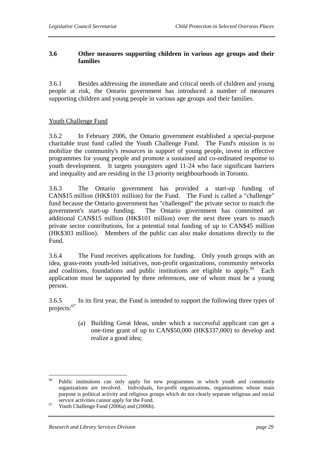### **3.6 Other measures supporting children in various age groups and their families**

3.6.1 Besides addressing the immediate and critical needs of children and young people at risk, the Ontario government has introduced a number of measures supporting children and young people in various age groups and their families.

#### Youth Challenge Fund

3.6.2 In February 2006, the Ontario government established a special-purpose charitable trust fund called the Youth Challenge Fund. The Fund's mission is to mobilize the community's resources in support of young people, invest in effective programmes for young people and promote a sustained and co-ordinated response to youth development. It targets youngsters aged 11-24 who face significant barriers and inequality and are residing in the 13 priority neighbourhoods in Toronto.

3.6.3 The Ontario government has provided a start-up funding of CAN\$15 million (HK\$101 million) for the Fund. The Fund is called a "challenge" fund because the Ontario government has "challenged" the private sector to match the government's start-up funding. The Ontario government has committed an additional CAN\$15 million (HK\$101 million) over the next three years to match private sector contributions, for a potential total funding of up to CAN\$45 million (HK\$303 million). Members of the public can also make donations directly to the Fund.

3.6.4 The Fund receives applications for funding. Only youth groups with an idea, grass-roots youth-led initiatives, non-profit organizations, community networks and coalitions, foundations and public institutions are eligible to apply.<sup>66</sup> Each application must be supported by three references, one of whom must be a young person.

3.6.5 In its first year, the Fund is intended to support the following three types of projects:<sup>67</sup>

> (a) Building Great Ideas, under which a successful applicant can get a one-time grant of up to CAN\$50,000 (HK\$337,000) to develop and realize a good idea;

<sup>66</sup> Public institutions can only apply for new programmes in which youth and community organizations are involved. Individuals, for-profit organizations, organizations whose main purpose is political activity and religious groups which do not clearly separate religious and social

service activities cannot apply for the Fund.<br>
<sup>67</sup> Youth Challenge Fund (2006a) and (2006b).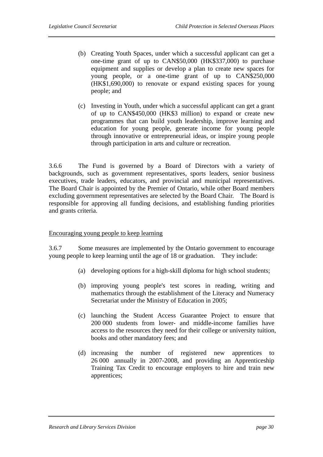- (b) Creating Youth Spaces, under which a successful applicant can get a one-time grant of up to CAN\$50,000 (HK\$337,000) to purchase equipment and supplies or develop a plan to create new spaces for young people, or a one-time grant of up to CAN\$250,000 (HK\$1,690,000) to renovate or expand existing spaces for young people; and
- (c) Investing in Youth, under which a successful applicant can get a grant of up to CAN\$450,000 (HK\$3 million) to expand or create new programmes that can build youth leadership, improve learning and education for young people, generate income for young people through innovative or entrepreneurial ideas, or inspire young people through participation in arts and culture or recreation.

3.6.6 The Fund is governed by a Board of Directors with a variety of backgrounds, such as government representatives, sports leaders, senior business executives, trade leaders, educators, and provincial and municipal representatives. The Board Chair is appointed by the Premier of Ontario, while other Board members excluding government representatives are selected by the Board Chair. The Board is responsible for approving all funding decisions, and establishing funding priorities and grants criteria.

#### Encouraging young people to keep learning

3.6.7 Some measures are implemented by the Ontario government to encourage young people to keep learning until the age of 18 or graduation. They include:

- (a) developing options for a high-skill diploma for high school students;
- (b) improving young people's test scores in reading, writing and mathematics through the establishment of the Literacy and Numeracy Secretariat under the Ministry of Education in 2005;
- (c) launching the Student Access Guarantee Project to ensure that 200 000 students from lower- and middle-income families have access to the resources they need for their college or university tuition, books and other mandatory fees; and
- (d) increasing the number of registered new apprentices to 26 000 annually in 2007-2008, and providing an Apprenticeship Training Tax Credit to encourage employers to hire and train new apprentices;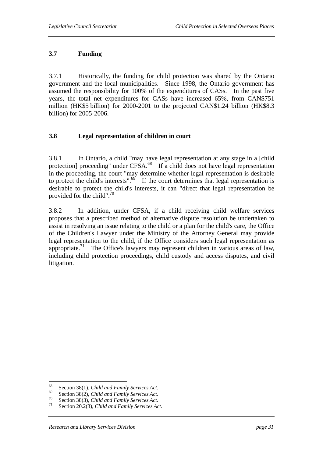# **3.7 Funding**

3.7.1 Historically, the funding for child protection was shared by the Ontario government and the local municipalities. Since 1998, the Ontario government has assumed the responsibility for 100% of the expenditures of CASs. In the past five years, the total net expenditures for CASs have increased 65%, from CAN\$751 million (HK\$5 billion) for 2000-2001 to the projected CAN\$1.24 billion (HK\$8.3 billion) for 2005-2006.

# **3.8 Legal representation of children in court**

3.8.1 In Ontario, a child "may have legal representation at any stage in a [child protection] proceeding" under CFSA.68 If a child does not have legal representation in the proceeding, the court "may determine whether legal representation is desirable to protect the child's interests". $69$  If the court determines that legal representation is desirable to protect the child's interests, it can "direct that legal representation be provided for the child".70

3.8.2 In addition, under CFSA, if a child receiving child welfare services proposes that a prescribed method of alternative dispute resolution be undertaken to assist in resolving an issue relating to the child or a plan for the child's care, the Office of the Children's Lawyer under the Ministry of the Attorney General may provide legal representation to the child, if the Office considers such legal representation as appropriate.<sup>71</sup> The Office's lawyers may represent children in various areas of law, including child protection proceedings, child custody and access disputes, and civil litigation.

<sup>68</sup> 

<sup>&</sup>lt;sup>68</sup><br>Section 38(1), *Child and Family Services Act.*<br>Section 38(2), *Child and Family Services Act.*<br>70<br>Section 38(3), *Child and Family Services Act.*<br>71 Section 20.2(3), *Child and Family Services Act.*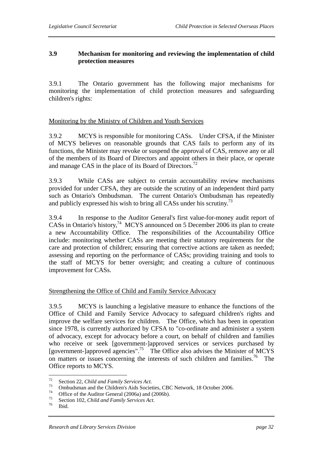# **3.9 Mechanism for monitoring and reviewing the implementation of child protection measures**

3.9.1 The Ontario government has the following major mechanisms for monitoring the implementation of child protection measures and safeguarding children's rights:

#### Monitoring by the Ministry of Children and Youth Services

3.9.2 MCYS is responsible for monitoring CASs. Under CFSA, if the Minister of MCYS believes on reasonable grounds that CAS fails to perform any of its functions, the Minister may revoke or suspend the approval of CAS, remove any or all of the members of its Board of Directors and appoint others in their place, or operate and manage CAS in the place of its Board of Directors.<sup>72</sup>

3.9.3 While CASs are subject to certain accountability review mechanisms provided for under CFSA, they are outside the scrutiny of an independent third party such as Ontario's Ombudsman. The current Ontario's Ombudsman has repeatedly and publicly expressed his wish to bring all CASs under his scrutiny.<sup>73</sup>

3.9.4 In response to the Auditor General's first value-for-money audit report of CASs in Ontario's history,  $^{74}$  MCYS announced on 5 December 2006 its plan to create a new Accountability Office. The responsibilities of the Accountability Office include: monitoring whether CASs are meeting their statutory requirements for the care and protection of children; ensuring that corrective actions are taken as needed; assessing and reporting on the performance of CASs; providing training and tools to the staff of MCYS for better oversight; and creating a culture of continuous improvement for CASs.

#### Strengthening the Office of Child and Family Service Advocacy

3.9.5 MCYS is launching a legislative measure to enhance the functions of the Office of Child and Family Service Advocacy to safeguard children's rights and improve the welfare services for children. The Office, which has been in operation since 1978, is currently authorized by CFSA to "co-ordinate and administer a system of advocacy, except for advocacy before a court, on behalf of children and families who receive or seek [government-]approved services or services purchased by [government-]approved agencies".75 The Office also advises the Minister of MCYS on matters or issues concerning the interests of such children and families.<sup>76</sup> The Office reports to MCYS.

 $72$ 

<sup>&</sup>lt;sup>72</sup> Section 22, *Child and Family Services Act.*<br><sup>73</sup> Ombudsman and the Children's Aids Societies, CBC Network, 18 October 2006.<br>*75* October 2006 Office of the Auditor General (2006a) and (2006b).

<sup>75</sup> Section 102, *Child and Family Services Act.* 76 Ibid.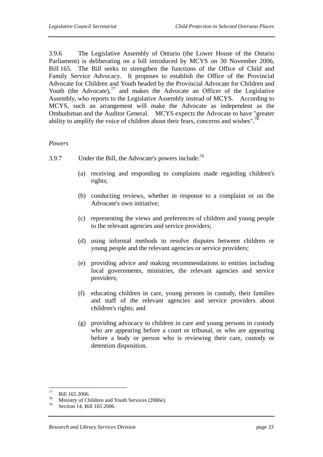3.9.6 The Legislative Assembly of Ontario (the Lower House of the Ontario Parliament) is deliberating on a bill introduced by MCYS on 30 November 2006, Bill 165. The Bill seeks to strengthen the functions of the Office of Child and Family Service Advocacy. It proposes to establish the Office of the Provincial Advocate for Children and Youth headed by the Provincial Advocate for Children and Youth (the Advocate), $^{77}$  and makes the Advocate an Officer of the Legislative Assembly, who reports to the Legislative Assembly instead of MCYS. According to MCYS, such an arrangement will make the Advocate as independent as the Ombudsman and the Auditor General. MCYS expects the Advocate to have "greater ability to amplify the voice of children about their fears, concerns and wishes".<sup>78</sup>

#### *Powers*

- 3.9.7 Under the Bill, the Advocate's powers include: $^{79}$ 
	- (a) receiving and responding to complaints made regarding children's rights;
	- (b) conducting reviews, whether in response to a complaint or on the Advocate's own initiative;
	- (c) representing the views and preferences of children and young people to the relevant agencies and service providers;
	- (d) using informal methods to resolve disputes between children or young people and the relevant agencies or service providers;
	- (e) providing advice and making recommendations to entities including local governments, ministries, the relevant agencies and service providers;
	- (f) educating children in care, young persons in custody, their families and staff of the relevant agencies and service providers about children's rights; and
	- (g) providing advocacy to children in care and young persons in custody who are appearing before a court or tribunal, or who are appearing before a body or person who is reviewing their care, custody or detention disposition.

<sup>77</sup>  $^{77}$  Bill 165 2006.

<sup>&</sup>lt;sup>78</sup> Ministry of Children and Youth Services (2006e).<br> $\frac{79}{2}$  Section 14, Bill 165,2006

Section 14, Bill 165 2006.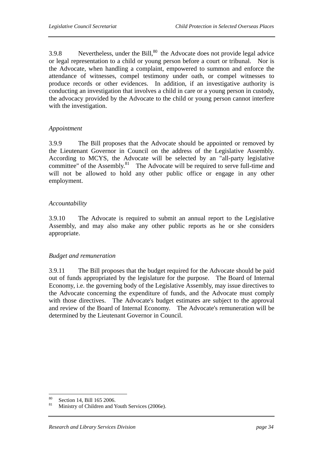3.9.8 Nevertheless, under the Bill, $80$  the Advocate does not provide legal advice or legal representation to a child or young person before a court or tribunal. Nor is the Advocate, when handling a complaint, empowered to summon and enforce the attendance of witnesses, compel testimony under oath, or compel witnesses to produce records or other evidences. In addition, if an investigative authority is conducting an investigation that involves a child in care or a young person in custody, the advocacy provided by the Advocate to the child or young person cannot interfere with the investigation.

#### *Appointment*

3.9.9 The Bill proposes that the Advocate should be appointed or removed by the Lieutenant Governor in Council on the address of the Legislative Assembly. According to MCYS, the Advocate will be selected by an "all-party legislative committee" of the Assembly.<sup>81</sup> The Advocate will be required to serve full-time and will not be allowed to hold any other public office or engage in any other employment.

## *Accountability*

3.9.10 The Advocate is required to submit an annual report to the Legislative Assembly, and may also make any other public reports as he or she considers appropriate.

# *Budget and remuneration*

3.9.11 The Bill proposes that the budget required for the Advocate should be paid out of funds appropriated by the legislature for the purpose. The Board of Internal Economy, i.e. the governing body of the Legislative Assembly, may issue directives to the Advocate concerning the expenditure of funds, and the Advocate must comply with those directives. The Advocate's budget estimates are subject to the approval and review of the Board of Internal Economy. The Advocate's remuneration will be determined by the Lieutenant Governor in Council.

<sup>80</sup>  $\frac{80}{81}$  Section 14, Bill 165 2006.

Ministry of Children and Youth Services (2006e).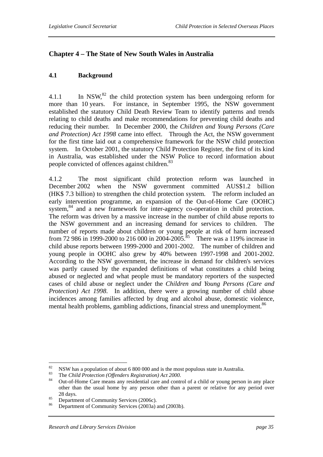# **Chapter 4 – The State of New South Wales in Australia**

## **4.1 Background**

4.1.1 In NSW, $^{82}$  the child protection system has been undergoing reform for more than 10 years. For instance, in September 1995, the NSW government established the statutory Child Death Review Team to identify patterns and trends relating to child deaths and make recommendations for preventing child deaths and reducing their number. In December 2000, the *Children and Young Persons (Care and Protection) Act 1998* came into effect. Through the Act, the NSW government for the first time laid out a comprehensive framework for the NSW child protection system. In October 2001, the statutory Child Protection Register, the first of its kind in Australia, was established under the NSW Police to record information about people convicted of offences against children.<sup>83</sup>

4.1.2 The most significant child protection reform was launched in December 2002 when the NSW government committed AUS\$1.2 billion (HK\$ 7.3 billion) to strengthen the child protection system. The reform included an early intervention programme, an expansion of the Out-of-Home Care (OOHC) system,<sup>84</sup> and a new framework for inter-agency co-operation in child protection. The reform was driven by a massive increase in the number of child abuse reports to the NSW government and an increasing demand for services to children. The number of reports made about children or young people at risk of harm increased from 72 986 in 1999-2000 to 216 000 in 2004-2005.<sup>85</sup> There was a 119% increase in child abuse reports between 1999-2000 and 2001-2002. The number of children and young people in OOHC also grew by 40% between 1997-1998 and 2001-2002. According to the NSW government, the increase in demand for children's services was partly caused by the expanded definitions of what constitutes a child being abused or neglected and what people must be mandatory reporters of the suspected cases of child abuse or neglect under the *Children and Young Persons (Care and Protection) Act 1998*. In addition, there were a growing number of child abuse incidences among families affected by drug and alcohol abuse, domestic violence, mental health problems, gambling addictions, financial stress and unemployment.<sup>86</sup>

<sup>82</sup> <sup>82</sup> NSW has a population of about 6 800 000 and is the most populous state in Australia.

<sup>83</sup> The *Child Protection (Offenders Registration) Act 2000.* 84 Out-of-Home Care means any residential care and control of a child or young person in any place other than the usual home by any person other than a parent or relative for any period over

<sup>28</sup> days.<br> **Example 18 Department of Community Services (2006c).**<br> **S6** Department of Community Services (2003c)

Department of Community Services (2003a) and (2003b).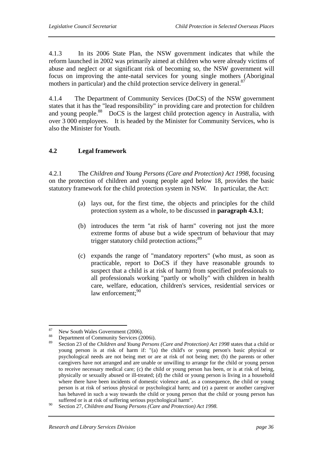4.1.3 In its 2006 State Plan, the NSW government indicates that while the reform launched in 2002 was primarily aimed at children who were already victims of abuse and neglect or at significant risk of becoming so, the NSW government will focus on improving the ante-natal services for young single mothers (Aboriginal mothers in particular) and the child protection service delivery in general.<sup>87</sup>

4.1.4 The Department of Community Services (DoCS) of the NSW government states that it has the "lead responsibility" in providing care and protection for children and young people.<sup>88</sup> DoCS is the largest child protection agency in Australia, with over 3 000 employees. It is headed by the Minister for Community Services, who is also the Minister for Youth.

# **4.2 Legal framework**

4.2.1 The *Children and Young Persons (Care and Protection) Act 1998*, focusing on the protection of children and young people aged below 18, provides the basic statutory framework for the child protection system in NSW. In particular, the Act:

- (a) lays out, for the first time, the objects and principles for the child protection system as a whole, to be discussed in **paragraph 4.3.1**;
- (b) introduces the term "at risk of harm" covering not just the more extreme forms of abuse but a wide spectrum of behaviour that may trigger statutory child protection actions;<sup>89</sup>
- (c) expands the range of "mandatory reporters" (who must, as soon as practicable, report to DoCS if they have reasonable grounds to suspect that a child is at risk of harm) from specified professionals to all professionals working "partly or wholly" with children in health care, welfare, education, children's services, residential services or law enforcement; $90$

<sup>87</sup>  $^{87}$  New South Wales Government (2006).

<sup>&</sup>lt;sup>88</sup> Department of Community Services (2006i).<br><sup>89</sup> Section 22 of the Children and Verme Baugust

<sup>89</sup> Section 23 of the *Children and Young Persons (Care and Protection) Act 1998* states that a child or young person is at risk of harm if: "(a) the child's or young person's basic physical or psychological needs are not being met or are at risk of not being met; (b) the parents or other caregivers have not arranged and are unable or unwilling to arrange for the child or young person to receive necessary medical care; (c) the child or young person has been, or is at risk of being, physically or sexually abused or ill-treated; (d) the child or young person is living in a household where there have been incidents of domestic violence and, as a consequence, the child or young person is at risk of serious physical or psychological harm; and (e) a parent or another caregiver has behaved in such a way towards the child or young person that the child or young person has suffered or is at risk of suffering serious psychological harm".

<sup>90</sup> Section 27, *Children and Young Persons (Care and Protection) Act 1998.*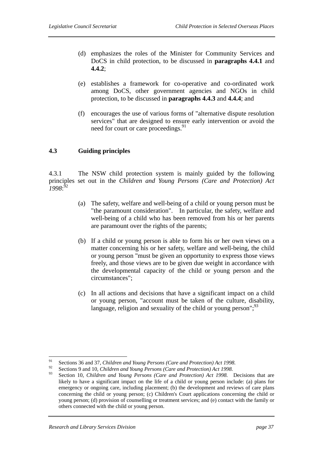- (d) emphasizes the roles of the Minister for Community Services and DoCS in child protection, to be discussed in **paragraphs 4.4.1** and **4.4.2**;
- (e) establishes a framework for co-operative and co-ordinated work among DoCS, other government agencies and NGOs in child protection, to be discussed in **paragraphs 4.4.3** and **4.4.4**; and
- (f) encourages the use of various forms of "alternative dispute resolution services" that are designed to ensure early intervention or avoid the need for court or care proceedings.<sup>91</sup>

## **4.3 Guiding principles**

4.3.1 The NSW child protection system is mainly guided by the following principles set out in the *Children and Young Persons (Care and Protection) Act 1998*: 92

- (a) The safety, welfare and well-being of a child or young person must be "the paramount consideration". In particular, the safety, welfare and well-being of a child who has been removed from his or her parents are paramount over the rights of the parents;
- (b) If a child or young person is able to form his or her own views on a matter concerning his or her safety, welfare and well-being, the child or young person "must be given an opportunity to express those views freely, and those views are to be given due weight in accordance with the developmental capacity of the child or young person and the circumstances";
- (c) In all actions and decisions that have a significant impact on a child or young person, "account must be taken of the culture, disability, language, religion and sexuality of the child or young person"; $^{93}$

<sup>91</sup> 91 Sections 36 and 37, *Children and Young Persons (Care and Protection) Act 1998.*

<sup>&</sup>lt;sup>92</sup> Sections 9 and 10, *Children and Young Persons (Care and Protection) Act 1998*.

<sup>93</sup> Section 10, *Children and Young Persons (Care and Protection) Act 1998.* Decisions that are likely to have a significant impact on the life of a child or young person include: (a) plans for emergency or ongoing care, including placement; (b) the development and reviews of care plans concerning the child or young person; (c) Children's Court applications concerning the child or young person; (d) provision of counselling or treatment services; and (e) contact with the family or others connected with the child or young person.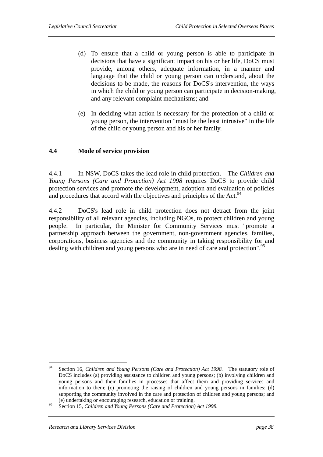- (d) To ensure that a child or young person is able to participate in decisions that have a significant impact on his or her life, DoCS must provide, among others, adequate information, in a manner and language that the child or young person can understand, about the decisions to be made, the reasons for DoCS's intervention, the ways in which the child or young person can participate in decision-making, and any relevant complaint mechanisms; and
- (e) In deciding what action is necessary for the protection of a child or young person, the intervention "must be the least intrusive" in the life of the child or young person and his or her family.

## **4.4 Mode of service provision**

4.4.1 In NSW, DoCS takes the lead role in child protection. The *Children and Young Persons (Care and Protection) Act 1998* requires DoCS to provide child protection services and promote the development, adoption and evaluation of policies and procedures that accord with the objectives and principles of the Act.<sup>94</sup>

4.4.2 DoCS's lead role in child protection does not detract from the joint responsibility of all relevant agencies, including NGOs, to protect children and young people. In particular, the Minister for Community Services must "promote a partnership approach between the government, non-government agencies, families, corporations, business agencies and the community in taking responsibility for and dealing with children and young persons who are in need of care and protection".<sup>95</sup>

<sup>94</sup> 94 Section 16, *Children and Young Persons (Care and Protection) Act 1998.* The statutory role of DoCS includes (a) providing assistance to children and young persons; (b) involving children and young persons and their families in processes that affect them and providing services and information to them; (c) promoting the raising of children and young persons in families; (d) supporting the community involved in the care and protection of children and young persons; and (e) undertaking or encouraging research, education or training.

<sup>95</sup> Section 15, *Children and Young Persons (Care and Protection) Act 1998.*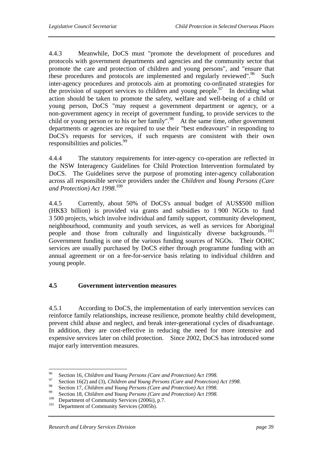4.4.3 Meanwhile, DoCS must "promote the development of procedures and protocols with government departments and agencies and the community sector that promote the care and protection of children and young persons", and "ensure that these procedures and protocols are implemented and regularly reviewed".<sup>96</sup> Such inter-agency procedures and protocols aim at promoting co-ordinated strategies for the provision of support services to children and young people.<sup>97</sup> In deciding what action should be taken to promote the safety, welfare and well-being of a child or young person, DoCS "may request a government department or agency, or a non-government agency in receipt of government funding, to provide services to the child or young person or to his or her family".<sup>98</sup> At the same time, other government departments or agencies are required to use their "best endeavours" in responding to DoCS's requests for services, if such requests are consistent with their own responsibilities and policies.<sup>99</sup>

4.4.4 The statutory requirements for inter-agency co-operation are reflected in the NSW Interagency Guidelines for Child Protection Intervention formulated by DoCS. The Guidelines serve the purpose of promoting inter-agency collaboration across all responsible service providers under the *Children and Young Persons (Care and Protection) Act 1998*. 100

4.4.5 Currently, about 50% of DoCS's annual budget of AUS\$500 million (HK\$3 billion) is provided via grants and subsidies to 1 900 NGOs to fund 3 500 projects, which involve individual and family support, community development, neighbourhood, community and youth services, as well as services for Aboriginal people and those from culturally and linguistically diverse backgrounds.<sup>101</sup> Government funding is one of the various funding sources of NGOs. Their OOHC services are usually purchased by DoCS either through programme funding with an annual agreement or on a fee-for-service basis relating to individual children and young people.

# **4.5 Government intervention measures**

4.5.1 According to DoCS, the implementation of early intervention services can reinforce family relationships, increase resilience, promote healthy child development, prevent child abuse and neglect, and break inter-generational cycles of disadvantage. In addition, they are cost-effective in reducing the need for more intensive and expensive services later on child protection. Since 2002, DoCS has introduced some major early intervention measures.

<sup>96</sup> 

<sup>96</sup> Section 16, *Children and Young Persons (Care and Protection) Act 1998.*<br><sup>97</sup> Section 16(2) and (3), *Children and Young Persons (Care and Protection) Act 1998.*<br><sup>98</sup> Section 17, *Cl* 111, *N* 

<sup>&</sup>lt;sup>98</sup><br>Section 17, *Children and Young Persons (Care and Protection) Act 1998*.<br>Section 18, *Children and Young Persons (Care and Protection) Act 1998*.<br><sup>100</sup> Department of Community Services (2006i), p.7.<br>Department of Com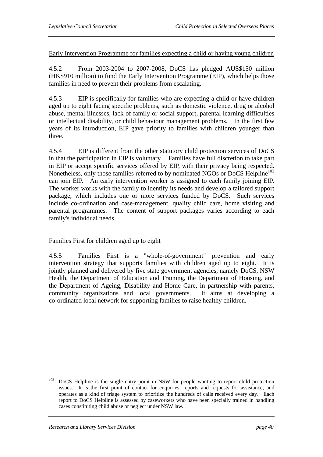Early Intervention Programme for families expecting a child or having young children

4.5.2 From 2003-2004 to 2007-2008, DoCS has pledged AUS\$150 million (HK\$910 million) to fund the Early Intervention Programme (EIP), which helps those families in need to prevent their problems from escalating.

4.5.3 EIP is specifically for families who are expecting a child or have children aged up to eight facing specific problems, such as domestic violence, drug or alcohol abuse, mental illnesses, lack of family or social support, parental learning difficulties or intellectual disability, or child behaviour management problems. In the first few years of its introduction, EIP gave priority to families with children younger than three.

4.5.4 EIP is different from the other statutory child protection services of DoCS in that the participation in EIP is voluntary. Families have full discretion to take part in EIP or accept specific services offered by EIP, with their privacy being respected. Nonetheless, only those families referred to by nominated NGOs or DoCS Helpline<sup>102</sup> can join EIP. An early intervention worker is assigned to each family joining EIP. The worker works with the family to identify its needs and develop a tailored support package, which includes one or more services funded by DoCS. Such services include co-ordination and case-management, quality child care, home visiting and parental programmes. The content of support packages varies according to each family's individual needs.

# Families First for children aged up to eight

4.5.5 Families First is a "whole-of-government" prevention and early intervention strategy that supports families with children aged up to eight. It is jointly planned and delivered by five state government agencies, namely DoCS, NSW Health, the Department of Education and Training, the Department of Housing, and the Department of Ageing, Disability and Home Care, in partnership with parents, community organizations and local governments. It aims at developing a co-ordinated local network for supporting families to raise healthy children.

<sup>102</sup> 102 DoCS Helpline is the single entry point in NSW for people wanting to report child protection issues. It is the first point of contact for enquiries, reports and requests for assistance, and operates as a kind of triage system to prioritize the hundreds of calls received every day. Each report to DoCS Helpline is assessed by caseworkers who have been specially trained in handling cases constituting child abuse or neglect under NSW law.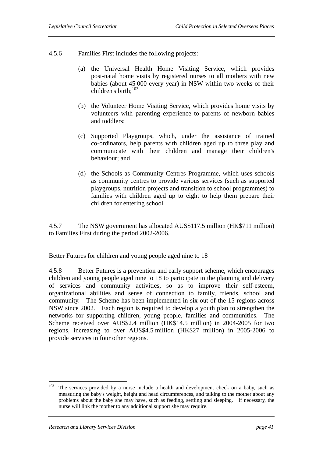- 4.5.6 Families First includes the following projects:
	- (a) the Universal Health Home Visiting Service, which provides post-natal home visits by registered nurses to all mothers with new babies (about 45 000 every year) in NSW within two weeks of their children's birth: $103$
	- (b) the Volunteer Home Visiting Service, which provides home visits by volunteers with parenting experience to parents of newborn babies and toddlers;
	- (c) Supported Playgroups, which, under the assistance of trained co-ordinators, help parents with children aged up to three play and communicate with their children and manage their children's behaviour; and
	- (d) the Schools as Community Centres Programme, which uses schools as community centres to provide various services (such as supported playgroups, nutrition projects and transition to school programmes) to families with children aged up to eight to help them prepare their children for entering school.

4.5.7 The NSW government has allocated AUS\$117.5 million (HK\$711 million) to Families First during the period 2002-2006.

#### Better Futures for children and young people aged nine to 18

4.5.8 Better Futures is a prevention and early support scheme, which encourages children and young people aged nine to 18 to participate in the planning and delivery of services and community activities, so as to improve their self-esteem, organizational abilities and sense of connection to family, friends, school and community. The Scheme has been implemented in six out of the 15 regions across NSW since 2002. Each region is required to develop a youth plan to strengthen the networks for supporting children, young people, families and communities. The Scheme received over AUS\$2.4 million (HK\$14.5 million) in 2004-2005 for two regions, increasing to over AUS\$4.5 million (HK\$27 million) in 2005-2006 to provide services in four other regions.

 $\overline{a}$ 

 $103$  The services provided by a nurse include a health and development check on a baby, such as measuring the baby's weight, height and head circumferences, and talking to the mother about any problems about the baby she may have, such as feeding, settling and sleeping. If necessary, the nurse will link the mother to any additional support she may require.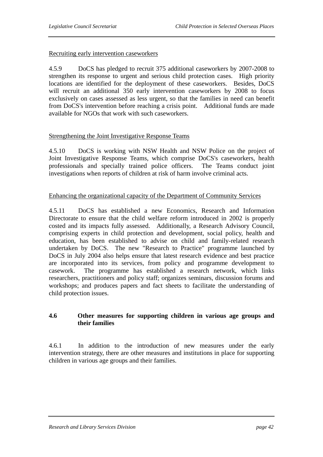## Recruiting early intervention caseworkers

4.5.9 DoCS has pledged to recruit 375 additional caseworkers by 2007-2008 to strengthen its response to urgent and serious child protection cases. High priority locations are identified for the deployment of these caseworkers. Besides, DoCS will recruit an additional 350 early intervention caseworkers by 2008 to focus exclusively on cases assessed as less urgent, so that the families in need can benefit from DoCS's intervention before reaching a crisis point. Additional funds are made available for NGOs that work with such caseworkers.

## Strengthening the Joint Investigative Response Teams

4.5.10 DoCS is working with NSW Health and NSW Police on the project of Joint Investigative Response Teams, which comprise DoCS's caseworkers, health professionals and specially trained police officers. The Teams conduct joint investigations when reports of children at risk of harm involve criminal acts.

## Enhancing the organizational capacity of the Department of Community Services

4.5.11 DoCS has established a new Economics, Research and Information Directorate to ensure that the child welfare reform introduced in 2002 is properly costed and its impacts fully assessed. Additionally, a Research Advisory Council, comprising experts in child protection and development, social policy, health and education, has been established to advise on child and family-related research undertaken by DoCS. The new "Research to Practice" programme launched by DoCS in July 2004 also helps ensure that latest research evidence and best practice are incorporated into its services, from policy and programme development to casework. The programme has established a research network, which links researchers, practitioners and policy staff; organizes seminars, discussion forums and workshops; and produces papers and fact sheets to facilitate the understanding of child protection issues.

## **4.6 Other measures for supporting children in various age groups and their families**

4.6.1 In addition to the introduction of new measures under the early intervention strategy, there are other measures and institutions in place for supporting children in various age groups and their families.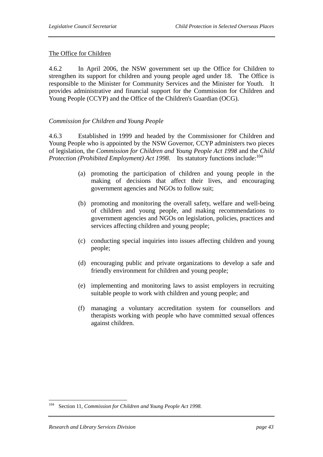# The Office for Children

4.6.2 In April 2006, the NSW government set up the Office for Children to strengthen its support for children and young people aged under 18. The Office is responsible to the Minister for Community Services and the Minister for Youth. It provides administrative and financial support for the Commission for Children and Young People (CCYP) and the Office of the Children's Guardian (OCG).

# *Commission for Children and Young People*

4.6.3 Established in 1999 and headed by the Commissioner for Children and Young People who is appointed by the NSW Governor, CCYP administers two pieces of legislation, the *Commission for Children and Young People Act 1998* and the *Child Protection (Prohibited Employment) Act 1998.* Its statutory functions include:<sup>104</sup>

- (a) promoting the participation of children and young people in the making of decisions that affect their lives, and encouraging government agencies and NGOs to follow suit;
- (b) promoting and monitoring the overall safety, welfare and well-being of children and young people, and making recommendations to government agencies and NGOs on legislation, policies, practices and services affecting children and young people;
- (c) conducting special inquiries into issues affecting children and young people;
- (d) encouraging public and private organizations to develop a safe and friendly environment for children and young people;
- (e) implementing and monitoring laws to assist employers in recruiting suitable people to work with children and young people; and
- (f) managing a voluntary accreditation system for counsellors and therapists working with people who have committed sexual offences against children.

<sup>104</sup> Section 11, *Commission for Children and Young People Act 1998*.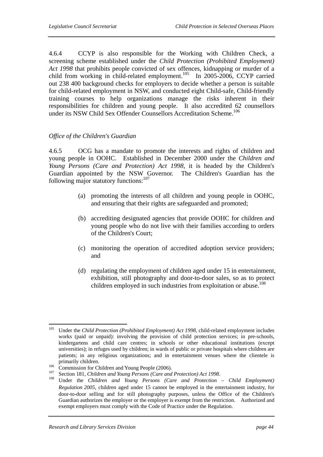4.6.4 CCYP is also responsible for the Working with Children Check, a screening scheme established under the *Child Protection (Prohibited Employment) Act 1998* that prohibits people convicted of sex offences, kidnapping or murder of a child from working in child-related employment.<sup>105</sup> In 2005-2006, CCYP carried out 238 400 background checks for employers to decide whether a person is suitable for child-related employment in NSW, and conducted eight Child-safe, Child-friendly training courses to help organizations manage the risks inherent in their responsibilities for children and young people. It also accredited 62 counsellors under its NSW Child Sex Offender Counsellors Accreditation Scheme.<sup>106</sup>

## *Office of the Children's Guardian*

4.6.5 OCG has a mandate to promote the interests and rights of children and young people in OOHC. Established in December 2000 under the *Children and Young Persons (Care and Protection) Act 1998*, it is headed by the Children's Guardian appointed by the NSW Governor. The Children's Guardian has the following major statutory functions:<sup>107</sup>

- (a) promoting the interests of all children and young people in OOHC, and ensuring that their rights are safeguarded and promoted;
- (b) accrediting designated agencies that provide OOHC for children and young people who do not live with their families according to orders of the Children's Court;
- (c) monitoring the operation of accredited adoption service providers; and
- (d) regulating the employment of children aged under 15 in entertainment, exhibition, still photography and door-to-door sales, so as to protect children employed in such industries from exploitation or abuse.<sup>108</sup>

<sup>105</sup> 105 Under the *Child Protection (Prohibited Employment) Act 1998*, child-related employment includes works (paid or unpaid): involving the provision of child protection services; in pre-schools, kindergartens and child care centres; in schools or other educational institutions (except universities); in refuges used by children; in wards of public or private hospitals where children are patients; in any religious organizations; and in entertainment venues where the clientele is primarily children.<br>
<sup>106</sup> Commission for Children and Young People (2006).<br>
<sup>107</sup> Section 181, *Children and Young Persons (Care and Protection) Act 1998.*<br>
<sup>108</sup> Under the *Children and Young Persons (Care and Protection* 

*Regulation 2005*, children aged under 15 cannot be employed in the entertainment industry, for door-to-door selling and for still photography purposes, unless the Office of the Children's Guardian authorizes the employer or the employer is exempt from the restriction. Authorized and exempt employers must comply with the Code of Practice under the Regulation.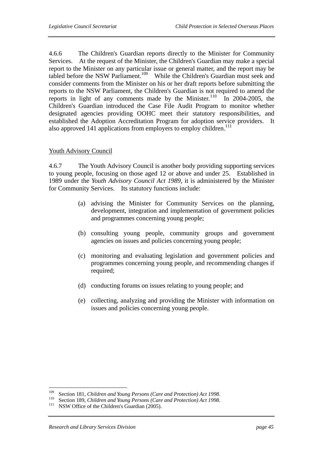4.6.6 The Children's Guardian reports directly to the Minister for Community Services. At the request of the Minister, the Children's Guardian may make a special report to the Minister on any particular issue or general matter, and the report may be tabled before the NSW Parliament.<sup>109</sup> While the Children's Guardian must seek and consider comments from the Minister on his or her draft reports before submitting the reports to the NSW Parliament, the Children's Guardian is not required to amend the reports in light of any comments made by the Minister.<sup>110</sup> In 2004-2005, the Children's Guardian introduced the Case File Audit Program to monitor whether designated agencies providing OOHC meet their statutory responsibilities, and established the Adoption Accreditation Program for adoption service providers. It also approved 141 applications from employers to employ children. $111$ 

## Youth Advisory Council

4.6.7 The Youth Advisory Council is another body providing supporting services to young people, focusing on those aged 12 or above and under 25. Established in 1989 under the *Youth Advisory Council Act 1989*, it is administered by the Minister for Community Services. Its statutory functions include:

- (a) advising the Minister for Community Services on the planning, development, integration and implementation of government policies and programmes concerning young people;
- (b) consulting young people, community groups and government agencies on issues and policies concerning young people;
- (c) monitoring and evaluating legislation and government policies and programmes concerning young people, and recommending changes if required:
- (d) conducting forums on issues relating to young people; and
- (e) collecting, analyzing and providing the Minister with information on issues and policies concerning young people.

<sup>109</sup> 

<sup>&</sup>lt;sup>109</sup> Section 181, *Children and Young Persons (Care and Protection) Act 1998*.<br><sup>110</sup> Section 189, *Children and Young Persons (Care and Protection) Act 1998*.<br><sup>111</sup> NSW Office of the Children's Guardian (2005).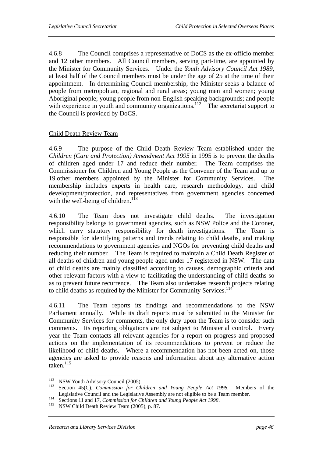4.6.8 The Council comprises a representative of DoCS as the ex-officio member and 12 other members. All Council members, serving part-time, are appointed by the Minister for Community Services. Under the *Youth Advisory Council Act 1989*, at least half of the Council members must be under the age of 25 at the time of their appointment. In determining Council membership, the Minister seeks a balance of people from metropolitan, regional and rural areas; young men and women; young Aboriginal people; young people from non-English speaking backgrounds; and people with experience in youth and community organizations.<sup>112</sup> The secretariat support to the Council is provided by DoCS.

## Child Death Review Team

4.6.9 The purpose of the Child Death Review Team established under the *Children (Care and Protection) Amendment Act 1995* in 1995 is to prevent the deaths of children aged under 17 and reduce their number. The Team comprises the Commissioner for Children and Young People as the Convener of the Team and up to 19 other members appointed by the Minister for Community Services. The membership includes experts in health care, research methodology, and child development/protection, and representatives from government agencies concerned with the well-being of children.<sup>113</sup>

4.6.10 The Team does not investigate child deaths. The investigation responsibility belongs to government agencies, such as NSW Police and the Coroner, which carry statutory responsibility for death investigations. The Team is responsible for identifying patterns and trends relating to child deaths, and making recommendations to government agencies and NGOs for preventing child deaths and reducing their number. The Team is required to maintain a Child Death Register of all deaths of children and young people aged under 17 registered in NSW. The data of child deaths are mainly classified according to causes, demographic criteria and other relevant factors with a view to facilitating the understanding of child deaths so as to prevent future recurrence. The Team also undertakes research projects relating to child deaths as required by the Minister for Community Services.<sup>114</sup>

4.6.11 The Team reports its findings and recommendations to the NSW Parliament annually. While its draft reports must be submitted to the Minister for Community Services for comments, the only duty upon the Team is to consider such comments. Its reporting obligations are not subject to Ministerial control. Every year the Team contacts all relevant agencies for a report on progress and proposed actions on the implementation of its recommendations to prevent or reduce the likelihood of child deaths. Where a recommendation has not been acted on, those agencies are asked to provide reasons and information about any alternative action  $taken.<sup>115</sup>$ 

 $112$ 

<sup>112</sup> NSW Youth Advisory Council (2005). 113 Section 45(C), *Commission for Children and Young People Act 1998.* Members of the Legislative Council and the Legislative Assembly are not eligible to be a Team member.<br><sup>114</sup> Sections 11 and 17, *Commission for Children and Young People Act 1998*.<br><sup>115</sup> NSW Child Death Review Team (2005), p. 87.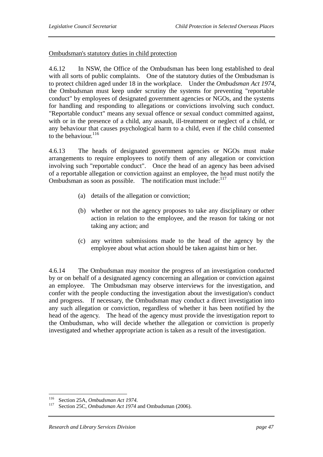## Ombudsman's statutory duties in child protection

4.6.12 In NSW, the Office of the Ombudsman has been long established to deal with all sorts of public complaints. One of the statutory duties of the Ombudsman is to protect children aged under 18 in the workplace. Under the *Ombudsman Act 1974*, the Ombudsman must keep under scrutiny the systems for preventing "reportable conduct" by employees of designated government agencies or NGOs, and the systems for handling and responding to allegations or convictions involving such conduct. "Reportable conduct" means any sexual offence or sexual conduct committed against, with or in the presence of a child, any assault, ill-treatment or neglect of a child, or any behaviour that causes psychological harm to a child, even if the child consented to the behaviour  $^{116}$ 

4.6.13 The heads of designated government agencies or NGOs must make arrangements to require employees to notify them of any allegation or conviction involving such "reportable conduct". Once the head of an agency has been advised of a reportable allegation or conviction against an employee, the head must notify the Ombudsman as soon as possible. The notification must include: $117$ 

- (a) details of the allegation or conviction;
- (b) whether or not the agency proposes to take any disciplinary or other action in relation to the employee, and the reason for taking or not taking any action; and
- (c) any written submissions made to the head of the agency by the employee about what action should be taken against him or her.

4.6.14 The Ombudsman may monitor the progress of an investigation conducted by or on behalf of a designated agency concerning an allegation or conviction against an employee. The Ombudsman may observe interviews for the investigation, and confer with the people conducting the investigation about the investigation's conduct and progress. If necessary, the Ombudsman may conduct a direct investigation into any such allegation or conviction, regardless of whether it has been notified by the head of the agency. The head of the agency must provide the investigation report to the Ombudsman, who will decide whether the allegation or conviction is properly investigated and whether appropriate action is taken as a result of the investigation.

<sup>116</sup> 

<sup>116</sup> Section 25A, *Ombudsman Act 1974.* 117 Section 25C, *Ombudsman Act 1974* and Ombudsman (2006).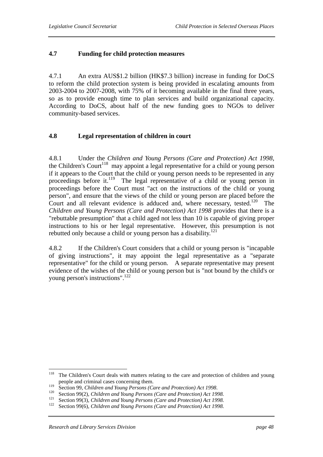# **4.7 Funding for child protection measures**

4.7.1 An extra AUS\$1.2 billion (HK\$7.3 billion) increase in funding for DoCS to reform the child protection system is being provided in escalating amounts from 2003-2004 to 2007-2008, with 75% of it becoming available in the final three years, so as to provide enough time to plan services and build organizational capacity. According to DoCS, about half of the new funding goes to NGOs to deliver community-based services.

# **4.8 Legal representation of children in court**

4.8.1 Under the *Children and Young Persons (Care and Protection) Act 1998*, the Children's Court<sup>118</sup> may appoint a legal representative for a child or young person if it appears to the Court that the child or young person needs to be represented in any proceedings before it.<sup>119</sup> The legal representative of a child or young person in proceedings before the Court must "act on the instructions of the child or young person", and ensure that the views of the child or young person are placed before the Court and all relevant evidence is adduced and, where necessary, tested.<sup>120</sup> The *Children and Young Persons (Care and Protection) Act 1998* provides that there is a "rebuttable presumption" that a child aged not less than 10 is capable of giving proper instructions to his or her legal representative. However, this presumption is not rebutted only because a child or young person has a disability.<sup>121</sup>

4.8.2 If the Children's Court considers that a child or young person is "incapable of giving instructions", it may appoint the legal representative as a "separate representative" for the child or young person. A separate representative may present evidence of the wishes of the child or young person but is "not bound by the child's or young person's instructions".<sup>122</sup>

<sup>118</sup> The Children's Court deals with matters relating to the care and protection of children and young people and criminal cases concerning them.

<sup>&</sup>lt;sup>119</sup> Section 99, *Children and Young Persons (Care and Protection) Act 1998*.<br><sup>120</sup> Section 99(2), *Children and Young Persons (Care and Protection) Act 1998*.<br><sup>121</sup> Section 99(3), *Children and Young Persons (Care and P*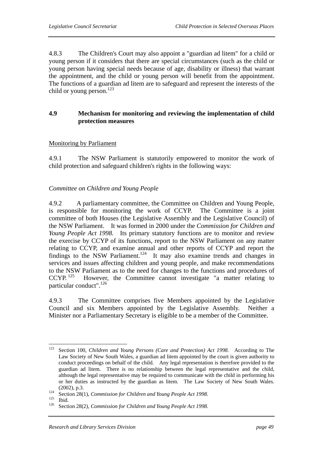4.8.3 The Children's Court may also appoint a "guardian ad litem" for a child or young person if it considers that there are special circumstances (such as the child or young person having special needs because of age, disability or illness) that warrant the appointment, and the child or young person will benefit from the appointment. The functions of a guardian ad litem are to safeguard and represent the interests of the child or young person.<sup>123</sup>

# **4.9 Mechanism for monitoring and reviewing the implementation of child protection measures**

## Monitoring by Parliament

4.9.1 The NSW Parliament is statutorily empowered to monitor the work of child protection and safeguard children's rights in the following ways:

## *Committee on Children and Young People*

4.9.2 A parliamentary committee, the Committee on Children and Young People, is responsible for monitoring the work of CCYP. The Committee is a joint committee of both Houses (the Legislative Assembly and the Legislative Council) of the NSW Parliament. It was formed in 2000 under the *Commission for Children and Young People Act 1998*. Its primary statutory functions are to monitor and review the exercise by CCYP of its functions, report to the NSW Parliament on any matter relating to CCYP, and examine annual and other reports of CCYP and report the findings to the NSW Parliament.<sup>124</sup> It may also examine trends and changes in services and issues affecting children and young people, and make recommendations to the NSW Parliament as to the need for changes to the functions and procedures of CCYP.<sup>125</sup> However, the Committee cannot investigate "a matter relating to However, the Committee cannot investigate "a matter relating to particular conduct".<sup>126</sup>

4.9.3 The Committee comprises five Members appointed by the Legislative Council and six Members appointed by the Legislative Assembly. Neither a Minister nor a Parliamentary Secretary is eligible to be a member of the Committee.

<sup>123</sup> 123 Section 100, *Children and Young Persons (Care and Protection) Act 1998.* According to The Law Society of New South Wales, a guardian ad litem appointed by the court is given authority to conduct proceedings on behalf of the child. Any legal representation is therefore provided to the guardian ad litem. There is no relationship between the legal representative and the child, although the legal representative may be required to communicate with the child in performing his or her duties as instructed by the guardian as litem. The Law Society of New South Wales. (2002), p.3. 124 Section 28(1), *Commission for Children and Young People Act 1998.* 125 Ibid. 126 Section 28(2), *Commission for Children and Young People Act 1998.*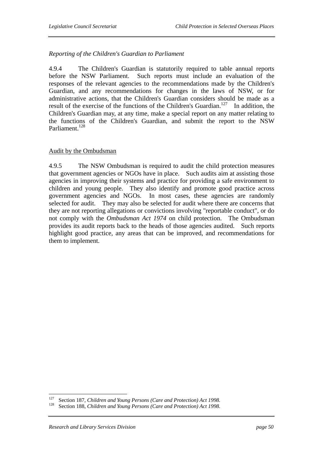## *Reporting of the Children's Guardian to Parliament*

4.9.4 The Children's Guardian is statutorily required to table annual reports before the NSW Parliament. Such reports must include an evaluation of the responses of the relevant agencies to the recommendations made by the Children's Guardian, and any recommendations for changes in the laws of NSW, or for administrative actions, that the Children's Guardian considers should be made as a result of the exercise of the functions of the Children's Guardian.<sup>127</sup> In addition, the Children's Guardian may, at any time, make a special report on any matter relating to the functions of the Children's Guardian, and submit the report to the NSW Parliament.<sup>128</sup>

#### Audit by the Ombudsman

4.9.5 The NSW Ombudsman is required to audit the child protection measures that government agencies or NGOs have in place. Such audits aim at assisting those agencies in improving their systems and practice for providing a safe environment to children and young people. They also identify and promote good practice across government agencies and NGOs. In most cases, these agencies are randomly selected for audit. They may also be selected for audit where there are concerns that they are not reporting allegations or convictions involving "reportable conduct", or do not comply with the *Ombudsman Act 1974* on child protection. The Ombudsman provides its audit reports back to the heads of those agencies audited. Such reports highlight good practice, any areas that can be improved, and recommendations for them to implement.

<sup>127</sup> 127 Section 187, *Children and Young Persons (Care and Protection) Act 1998.* 128 Section 188, *Children and Young Persons (Care and Protection) Act 1998.*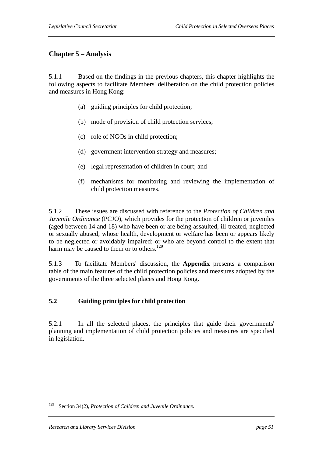# **Chapter 5 – Analysis**

5.1.1 Based on the findings in the previous chapters, this chapter highlights the following aspects to facilitate Members' deliberation on the child protection policies and measures in Hong Kong:

- (a) guiding principles for child protection;
- (b) mode of provision of child protection services;
- (c) role of NGOs in child protection;
- (d) government intervention strategy and measures;
- (e) legal representation of children in court; and
- (f) mechanisms for monitoring and reviewing the implementation of child protection measures.

5.1.2 These issues are discussed with reference to the *Protection of Children and Juvenile Ordinance* (PCJO), which provides for the protection of children or juveniles (aged between 14 and 18) who have been or are being assaulted, ill-treated, neglected or sexually abused; whose health, development or welfare has been or appears likely to be neglected or avoidably impaired; or who are beyond control to the extent that harm may be caused to them or to others.<sup>129</sup>

5.1.3 To facilitate Members' discussion, the **Appendix** presents a comparison table of the main features of the child protection policies and measures adopted by the governments of the three selected places and Hong Kong.

#### **5.2 Guiding principles for child protection**

5.2.1 In all the selected places, the principles that guide their governments' planning and implementation of child protection policies and measures are specified in legislation.

<sup>129</sup> Section 34(2), *Protection of Children and Juvenile Ordinance*.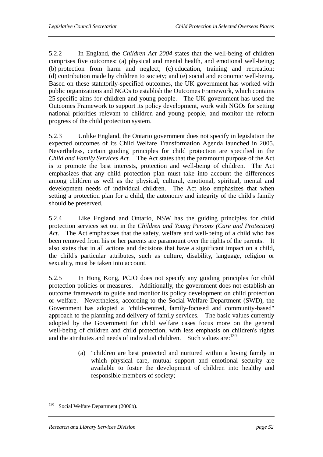5.2.2 In England, the *Children Act 2004* states that the well-being of children comprises five outcomes: (a) physical and mental health, and emotional well-being; (b) protection from harm and neglect; (c) education, training and recreation; (d) contribution made by children to society; and (e) social and economic well-being. Based on these statutorily-specified outcomes, the UK government has worked with public organizations and NGOs to establish the Outcomes Framework, which contains 25 specific aims for children and young people. The UK government has used the Outcomes Framework to support its policy development, work with NGOs for setting national priorities relevant to children and young people, and monitor the reform progress of the child protection system.

5.2.3 Unlike England, the Ontario government does not specify in legislation the expected outcomes of its Child Welfare Transformation Agenda launched in 2005. Nevertheless, certain guiding principles for child protection are specified in the *Child and Family Services Act.* The Act states that the paramount purpose of the Act is to promote the best interests, protection and well-being of children. The Act emphasizes that any child protection plan must take into account the differences among children as well as the physical, cultural, emotional, spiritual, mental and development needs of individual children. The Act also emphasizes that when setting a protection plan for a child, the autonomy and integrity of the child's family should be preserved.

5.2.4 Like England and Ontario, NSW has the guiding principles for child protection services set out in the *Children and Young Persons (Care and Protection) Act*. The Act emphasizes that the safety, welfare and well-being of a child who has been removed from his or her parents are paramount over the rights of the parents. It also states that in all actions and decisions that have a significant impact on a child, the child's particular attributes, such as culture, disability, language, religion or sexuality, must be taken into account.

5.2.5 In Hong Kong, PCJO does not specify any guiding principles for child protection policies or measures. Additionally, the government does not establish an outcome framework to guide and monitor its policy development on child protection or welfare. Nevertheless, according to the Social Welfare Department (SWD), the Government has adopted a "child-centred, family-focused and community-based" approach to the planning and delivery of family services. The basic values currently adopted by the Government for child welfare cases focus more on the general well-being of children and child protection, with less emphasis on children's rights and the attributes and needs of individual children. Such values are:<sup>130</sup>

> (a) "children are best protected and nurtured within a loving family in which physical care, mutual support and emotional security are available to foster the development of children into healthy and responsible members of society;

 $\overline{a}$ <sup>130</sup> Social Welfare Department (2006b).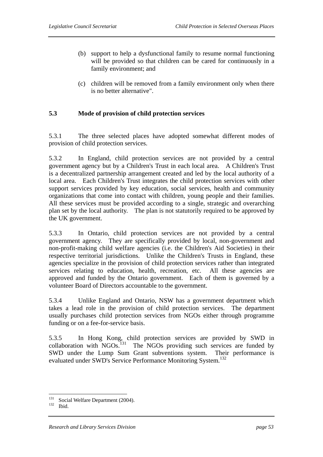- (b) support to help a dysfunctional family to resume normal functioning will be provided so that children can be cared for continuously in a family environment; and
- (c) children will be removed from a family environment only when there is no better alternative".

### **5.3 Mode of provision of child protection services**

5.3.1 The three selected places have adopted somewhat different modes of provision of child protection services.

5.3.2 In England, child protection services are not provided by a central government agency but by a Children's Trust in each local area. A Children's Trust is a decentralized partnership arrangement created and led by the local authority of a local area. Each Children's Trust integrates the child protection services with other support services provided by key education, social services, health and community organizations that come into contact with children, young people and their families. All these services must be provided according to a single, strategic and overarching plan set by the local authority. The plan is not statutorily required to be approved by the UK government.

5.3.3 In Ontario, child protection services are not provided by a central government agency. They are specifically provided by local, non-government and non-profit-making child welfare agencies (i.e. the Children's Aid Societies) in their respective territorial jurisdictions. Unlike the Children's Trusts in England, these agencies specialize in the provision of child protection services rather than integrated services relating to education, health, recreation, etc. All these agencies are approved and funded by the Ontario government. Each of them is governed by a volunteer Board of Directors accountable to the government.

5.3.4 Unlike England and Ontario, NSW has a government department which takes a lead role in the provision of child protection services. The department usually purchases child protection services from NGOs either through programme funding or on a fee-for-service basis.

5.3.5 In Hong Kong, child protection services are provided by SWD in collaboration with  $NGOs$ <sup>131</sup> The NGOs providing such services are funded by SWD under the Lump Sum Grant subventions system. Their performance is evaluated under SWD's Service Performance Monitoring System.<sup>132</sup>

<sup>131</sup>  $\frac{131}{132}$  Social Welfare Department (2004).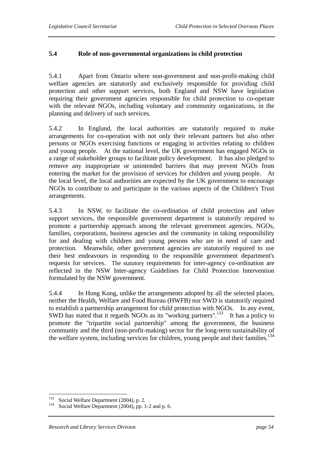# **5.4 Role of non-governmental organizations in child protection**

5.4.1 Apart from Ontario where non-government and non-profit-making child welfare agencies are statutorily and exclusively responsible for providing child protection and other support services, both England and NSW have legislation requiring their government agencies responsible for child protection to co-operate with the relevant NGOs, including voluntary and community organizations, in the planning and delivery of such services.

5.4.2 In England, the local authorities are statutorily required to make arrangements for co-operation with not only their relevant partners but also other persons or NGOs exercising functions or engaging in activities relating to children and young people. At the national level, the UK government has engaged NGOs in a range of stakeholder groups to facilitate policy development. It has also pledged to remove any inappropriate or unintended barriers that may prevent NGOs from entering the market for the provision of services for children and young people. At the local level, the local authorities are expected by the UK government to encourage NGOs to contribute to and participate in the various aspects of the Children's Trust arrangements.

5.4.3 In NSW, to facilitate the co-ordination of child protection and other support services, the responsible government department is statutorily required to promote a partnership approach among the relevant government agencies, NGOs, families, corporations, business agencies and the community in taking responsibility for and dealing with children and young persons who are in need of care and protection. Meanwhile, other government agencies are statutorily required to use their best endeavours in responding to the responsible government department's requests for services. The statutory requirements for inter-agency co-ordination are reflected in the NSW Inter-agency Guidelines for Child Protection Intervention formulated by the NSW government.

5.4.4 In Hong Kong, unlike the arrangements adopted by all the selected places, neither the Health, Welfare and Food Bureau (HWFB) nor SWD is statutorily required to establish a partnership arrangement for child protection with NGOs. In any event, SWD has stated that it regards NGOs as its "working partners".<sup>133</sup> It has a policy to promote the "tripartite social partnership" among the government, the business community and the third (non-profit-making) sector for the long-term sustainability of the welfare system, including services for children, young people and their families.<sup>134</sup>

<sup>133</sup> 

<sup>&</sup>lt;sup>133</sup> Social Welfare Department (2004), p. 2.<br><sup>134</sup> Social Welfare Department (2004), pp. 1-2 and p. 6.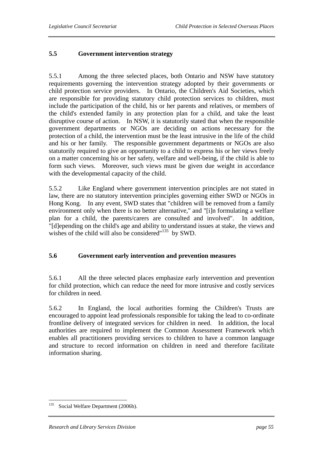# **5.5 Government intervention strategy**

5.5.1 Among the three selected places, both Ontario and NSW have statutory requirements governing the intervention strategy adopted by their governments or child protection service providers. In Ontario, the Children's Aid Societies, which are responsible for providing statutory child protection services to children, must include the participation of the child, his or her parents and relatives, or members of the child's extended family in any protection plan for a child, and take the least disruptive course of action. In NSW, it is statutorily stated that when the responsible government departments or NGOs are deciding on actions necessary for the protection of a child, the intervention must be the least intrusive in the life of the child and his or her family. The responsible government departments or NGOs are also statutorily required to give an opportunity to a child to express his or her views freely on a matter concerning his or her safety, welfare and well-being, if the child is able to form such views. Moreover, such views must be given due weight in accordance with the developmental capacity of the child.

5.5.2 Like England where government intervention principles are not stated in law, there are no statutory intervention principles governing either SWD or NGOs in Hong Kong. In any event, SWD states that "children will be removed from a family environment only when there is no better alternative," and "[i]n formulating a welfare plan for a child, the parents/carers are consulted and involved". In addition, "[d]epending on the child's age and ability to understand issues at stake, the views and wishes of the child will also be considered"<sup>135</sup> by SWD.

# **5.6 Government early intervention and prevention measures**

5.6.1 All the three selected places emphasize early intervention and prevention for child protection, which can reduce the need for more intrusive and costly services for children in need.

5.6.2 In England, the local authorities forming the Children's Trusts are encouraged to appoint lead professionals responsible for taking the lead to co-ordinate frontline delivery of integrated services for children in need. In addition, the local authorities are required to implement the Common Assessment Framework which enables all practitioners providing services to children to have a common language and structure to record information on children in need and therefore facilitate information sharing.

 $\overline{a}$ <sup>135</sup> Social Welfare Department (2006b).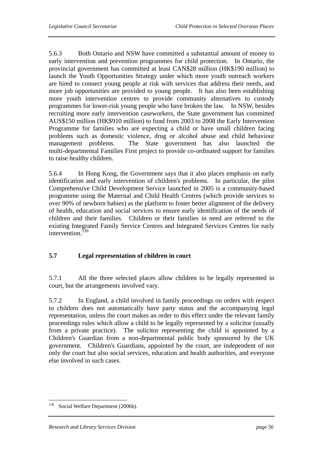5.6.3 Both Ontario and NSW have committed a substantial amount of money to early intervention and prevention programmes for child protection. In Ontario, the provincial government has committed at least CAN\$28 million (HK\$190 million) to launch the Youth Opportunities Strategy under which more youth outreach workers are hired to connect young people at risk with services that address their needs, and more job opportunities are provided to young people. It has also been establishing more youth intervention centres to provide community alternatives to custody programmes for lower-risk young people who have broken the law. In NSW, besides recruiting more early intervention caseworkers, the State government has committed AUS\$150 million (HK\$910 million) to fund from 2003 to 2008 the Early Intervention Programme for families who are expecting a child or have small children facing problems such as domestic violence, drug or alcohol abuse and child behaviour management problems. The State government has also launched the multi-departmental Families First project to provide co-ordinated support for families to raise healthy children.

5.6.4 In Hong Kong, the Government says that it also places emphasis on early identification and early intervention of children's problems. In particular, the pilot Comprehensive Child Development Service launched in 2005 is a community-based programme using the Maternal and Child Health Centres (which provide services to over 90% of newborn babies) as the platform to foster better alignment of the delivery of health, education and social services to ensure early identification of the needs of children and their families. Children or their families in need are referred to the existing Integrated Family Service Centres and Integrated Services Centres for early intervention.<sup> $136$ </sup>

# **5.7 Legal representation of children in court**

5.7.1 All the three selected places allow children to be legally represented in court, but the arrangements involved vary.

5.7.2 In England, a child involved in family proceedings on orders with respect to children does not automatically have party status and the accompanying legal representation, unless the court makes an order to this effect under the relevant family proceedings rules which allow a child to be legally represented by a solicitor (usually from a private practice). The solicitor representing the child is appointed by a Children's Guardian from a non-departmental public body sponsored by the UK government. Children's Guardians, appointed by the court, are independent of not only the court but also social services, education and health authorities, and everyone else involved in such cases.

 $\overline{a}$ 

<sup>&</sup>lt;sup>136</sup> Social Welfare Department (2006b).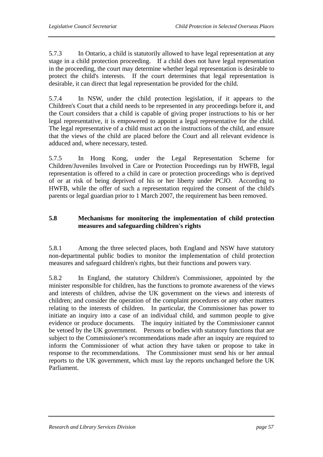5.7.3 In Ontario, a child is statutorily allowed to have legal representation at any stage in a child protection proceeding. If a child does not have legal representation in the proceeding, the court may determine whether legal representation is desirable to protect the child's interests. If the court determines that legal representation is desirable, it can direct that legal representation be provided for the child.

5.7.4 In NSW, under the child protection legislation, if it appears to the Children's Court that a child needs to be represented in any proceedings before it, and the Court considers that a child is capable of giving proper instructions to his or her legal representative, it is empowered to appoint a legal representative for the child. The legal representative of a child must act on the instructions of the child, and ensure that the views of the child are placed before the Court and all relevant evidence is adduced and, where necessary, tested.

5.7.5 In Hong Kong, under the Legal Representation Scheme for Children/Juveniles Involved in Care or Protection Proceedings run by HWFB, legal representation is offered to a child in care or protection proceedings who is deprived of or at risk of being deprived of his or her liberty under PCJO. According to HWFB, while the offer of such a representation required the consent of the child's parents or legal guardian prior to 1 March 2007, the requirement has been removed.

# **5.8 Mechanisms for monitoring the implementation of child protection measures and safeguarding children's rights**

5.8.1 Among the three selected places, both England and NSW have statutory non-departmental public bodies to monitor the implementation of child protection measures and safeguard children's rights, but their functions and powers vary.

5.8.2 In England, the statutory Children's Commissioner, appointed by the minister responsible for children, has the functions to promote awareness of the views and interests of children, advise the UK government on the views and interests of children; and consider the operation of the complaint procedures or any other matters relating to the interests of children. In particular, the Commissioner has power to initiate an inquiry into a case of an individual child, and summon people to give evidence or produce documents. The inquiry initiated by the Commissioner cannot be vetoed by the UK government. Persons or bodies with statutory functions that are subject to the Commissioner's recommendations made after an inquiry are required to inform the Commissioner of what action they have taken or propose to take in response to the recommendations. The Commissioner must send his or her annual reports to the UK government, which must lay the reports unchanged before the UK Parliament.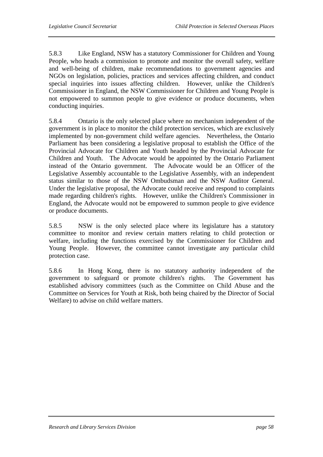5.8.3 Like England, NSW has a statutory Commissioner for Children and Young People, who heads a commission to promote and monitor the overall safety, welfare and well-being of children, make recommendations to government agencies and NGOs on legislation, policies, practices and services affecting children, and conduct special inquiries into issues affecting children. However, unlike the Children's Commissioner in England, the NSW Commissioner for Children and Young People is not empowered to summon people to give evidence or produce documents, when conducting inquiries.

5.8.4 Ontario is the only selected place where no mechanism independent of the government is in place to monitor the child protection services, which are exclusively implemented by non-government child welfare agencies. Nevertheless, the Ontario Parliament has been considering a legislative proposal to establish the Office of the Provincial Advocate for Children and Youth headed by the Provincial Advocate for Children and Youth. The Advocate would be appointed by the Ontario Parliament instead of the Ontario government. The Advocate would be an Officer of the Legislative Assembly accountable to the Legislative Assembly, with an independent status similar to those of the NSW Ombudsman and the NSW Auditor General. Under the legislative proposal, the Advocate could receive and respond to complaints made regarding children's rights. However, unlike the Children's Commissioner in England, the Advocate would not be empowered to summon people to give evidence or produce documents.

5.8.5 NSW is the only selected place where its legislature has a statutory committee to monitor and review certain matters relating to child protection or welfare, including the functions exercised by the Commissioner for Children and Young People. However, the committee cannot investigate any particular child protection case.

5.8.6 In Hong Kong, there is no statutory authority independent of the government to safeguard or promote children's rights. The Government has established advisory committees (such as the Committee on Child Abuse and the Committee on Services for Youth at Risk, both being chaired by the Director of Social Welfare) to advise on child welfare matters.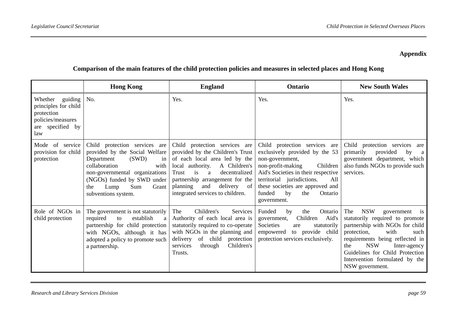# **Appendix**

# **Comparison of the main features of the child protection policies and measures in selected places and Hong Kong**

|                                                                                                       | <b>Hong Kong</b>                                                                                                                                                                                                                            | <b>England</b>                                                                                                                                                                                                                                                                           | Ontario                                                                                                                                                                                                                                                                              | <b>New South Wales</b>                                                                                                                                                                                                                                                                                     |
|-------------------------------------------------------------------------------------------------------|---------------------------------------------------------------------------------------------------------------------------------------------------------------------------------------------------------------------------------------------|------------------------------------------------------------------------------------------------------------------------------------------------------------------------------------------------------------------------------------------------------------------------------------------|--------------------------------------------------------------------------------------------------------------------------------------------------------------------------------------------------------------------------------------------------------------------------------------|------------------------------------------------------------------------------------------------------------------------------------------------------------------------------------------------------------------------------------------------------------------------------------------------------------|
| Whether guiding<br>principles for child<br>protection<br>policies/measures<br>are specified by<br>law | No.                                                                                                                                                                                                                                         | Yes.                                                                                                                                                                                                                                                                                     | Yes.                                                                                                                                                                                                                                                                                 | Yes.                                                                                                                                                                                                                                                                                                       |
| Mode of service<br>provision for child<br>protection                                                  | Child protection services are<br>provided by the Social Welfare<br>Department<br>(SWD)<br>in<br>collaboration<br>with<br>non-governmental organizations<br>(NGOs) funded by SWD under<br>Sum<br>Grant<br>Lump<br>the<br>subventions system. | Child protection services are<br>provided by the Children's Trust<br>of each local area led by the<br>local authority.<br>A Children's<br>is<br>decentralized<br>Trust<br>a<br>partnership arrangement for the<br>and<br>delivery<br>planning<br>-of<br>integrated services to children. | Child protection services are<br>exclusively provided by the 53<br>non-government,<br>non-profit-making<br>Children<br>Aid's Societies in their respective<br>territorial jurisdictions.<br>All<br>these societies are approved and<br>funded<br>by<br>the<br>Ontario<br>government. | Child protection services<br>are<br>primarily<br>provided<br>by<br>a a<br>government department, which<br>also funds NGOs to provide such<br>services.                                                                                                                                                     |
| Role of NGOs in<br>child protection                                                                   | The government is not statutorily<br>required<br>establish<br>to<br>a<br>partnership for child protection<br>with NGOs, although it has<br>adopted a policy to promote such<br>a partnership.                                               | The<br>Children's<br>Services<br>Authority of each local area is<br>statutorily required to co-operate<br>with NGOs in the planning and<br>of child<br>delivery<br>protection<br>Children's<br>services<br>through<br>Trusts.                                                            | Funded<br>the<br>Ontario<br>by<br>Children<br>Aid's<br>government,<br>Societies<br>statutorily<br>are<br>to provide child<br>empowered<br>protection services exclusively.                                                                                                           | <b>NSW</b><br>The<br>government<br>is<br>statutorily required to promote<br>partnership with NGOs for child<br>with<br>protection,<br>such<br>requirements being reflected in<br><b>NSW</b><br>the<br>Inter-agency<br>Guidelines for Child Protection<br>Intervention formulated by the<br>NSW government. |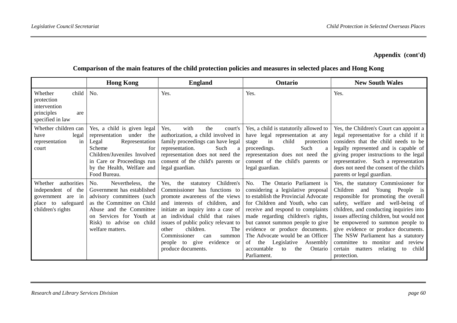# **Appendix (cont'd)**

## **Comparison of the main features of the child protection policies and measures in selected places and Hong Kong**

|                                                                                                           | <b>Hong Kong</b>                                                                                                                                                                                                           | <b>England</b>                                                                                                                                                                                                                                                                                                                                                             | Ontario                                                                                                                                                                                                                                                                                                                                                                                                                             | <b>New South Wales</b>                                                                                                                                                                                                                                                                                                                                                                                                                                       |
|-----------------------------------------------------------------------------------------------------------|----------------------------------------------------------------------------------------------------------------------------------------------------------------------------------------------------------------------------|----------------------------------------------------------------------------------------------------------------------------------------------------------------------------------------------------------------------------------------------------------------------------------------------------------------------------------------------------------------------------|-------------------------------------------------------------------------------------------------------------------------------------------------------------------------------------------------------------------------------------------------------------------------------------------------------------------------------------------------------------------------------------------------------------------------------------|--------------------------------------------------------------------------------------------------------------------------------------------------------------------------------------------------------------------------------------------------------------------------------------------------------------------------------------------------------------------------------------------------------------------------------------------------------------|
| child<br>Whether<br>protection<br>intervention<br>principles<br>are<br>specified in law                   | No.                                                                                                                                                                                                                        | Yes.                                                                                                                                                                                                                                                                                                                                                                       | Yes.                                                                                                                                                                                                                                                                                                                                                                                                                                | Yes.                                                                                                                                                                                                                                                                                                                                                                                                                                                         |
| Whether children can<br>legal<br>have<br>in<br>representation<br>court                                    | Yes, a child is given legal<br>representation<br>under the<br>Representation<br>Legal<br>Scheme<br>for<br>Children/Juveniles Involved<br>in Care or Proceedings run<br>by the Health, Welfare and<br>Food Bureau.          | Yes,<br>with<br>the<br>court's<br>authorization, a child involved in<br>family proceedings can have legal<br>Such<br>representation.<br>a<br>representation does not need the<br>consent of the child's parents or<br>legal guardian.                                                                                                                                      | Yes, a child is statutorily allowed to<br>have legal representation at any<br>child<br>in<br>stage<br>protection<br>Such<br>proceedings.<br>representation does not need the<br>consent of the child's parents or<br>legal guardian.                                                                                                                                                                                                | Yes, the Children's Court can appoint a<br>legal representative for a child if it<br>considers that the child needs to be<br>legally represented and is capable of<br>giving proper instructions to the legal<br>representative. Such a representation<br>does not need the consent of the child's<br>parents or legal guardian.                                                                                                                             |
| Whether authorities<br>independent of the<br>government are in<br>place to safeguard<br>children's rights | Nevertheless,<br>No.<br>the<br>Government has established<br>advisory committees (such<br>as the Committee on Child<br>Abuse and the Committee<br>on Services for Youth at<br>Risk) to advise on child<br>welfare matters. | Children's<br>Yes, the<br>statutory<br>Commissioner has functions to<br>promote awareness of the views<br>and interests of children, and<br>initiate an inquiry into a case of<br>an individual child that raises<br>issues of public policy relevant to<br>children.<br>The<br>other<br>Commissioner<br>can<br>summon<br>people to give evidence or<br>produce documents. | The Ontario Parliament is<br>No.<br>considering a legislative proposal<br>to establish the Provincial Advocate<br>for Children and Youth, who can<br>receive and respond to complaints<br>made regarding children's rights,<br>but cannot summon people to give<br>evidence or produce documents.<br>The Advocate would be an Officer<br>Legislative<br>the<br>of<br>Assembly<br>accountable<br>the<br>Ontario<br>to<br>Parliament. | Yes, the statutory Commissioner for<br>Children<br>and<br>Young People is<br>responsible for promoting the overall<br>safety, welfare and well-being of<br>children, and conducting inquiries into<br>issues affecting children, but would not<br>be empowered to summon people to<br>give evidence or produce documents.<br>The NSW Parliament has a statutory<br>committee to monitor and review<br>certain matters<br>relating to<br>child<br>protection. |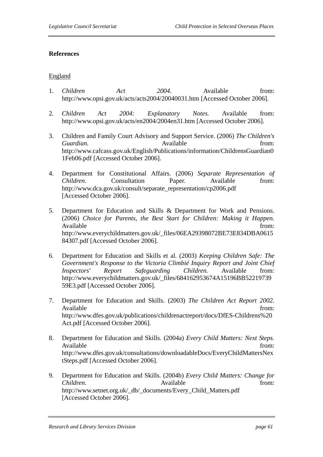#### **References**

#### England

- 1. *Children Act 2004.* Available from: http://www.opsi.gov.uk/acts/acts2004/20040031.htm [Accessed October 2006].
- 2. *Children Act 2004: Explanatory Notes.* Available from: http://www.opsi.gov.uk/acts/en2004/2004en31.htm [Accessed October 2006].
- 3. Children and Family Court Advisory and Support Service. (2006) *The Children's Guardian.* **Construction Available** *Guardian* **from:** *Guardian* http://www.cafcass.gov.uk/English/Publications/information/ChildrensGuardian0 1Feb06.pdf [Accessed October 2006].
- 4. Department for Constitutional Affairs. (2006) *Separate Representation of Children.* Consultation Paper. Available from: http://www.dca.gov.uk/consult/separate\_representation/cp2006.pdf [Accessed October 2006].
- 5. Department for Education and Skills & Department for Work and Pensions. (2006) *Choice for Parents, the Best Start for Children: Making it Happen.*  Available from: http://www.everychildmatters.gov.uk/\_files/06EA29398072BE73E834DBA0615 84307.pdf [Accessed October 2006].
- 6. Department for Education and Skills et al. (2003) *Keeping Children Safe: The Government's Response to the Victoria Climbié Inquiry Report and Joint Chief Inspectors' Report Safeguarding Children.* Available from: http://www.everychildmatters.gov.uk/\_files/684162953674A15196BB52219739 59E3.pdf [Accessed October 2006].
- 7. Department for Education and Skills. (2003) *The Children Act Report 2002.*  Available from: http://www.dfes.gov.uk/publications/childrenactreport/docs/DfES-Childrens%20 Act.pdf [Accessed October 2006].
- 8. Department for Education and Skills. (2004a) *Every Child Matters: Next Steps.*  Available from: http://www.dfes.gov.uk/consultations/downloadableDocs/EveryChildMattersNex tSteps.pdf [Accessed October 2006].
- 9. Department for Education and Skills. (2004b) *Every Child Matters: Change for Children.* **Available** from: **Available** from: http://www.setnet.org.uk/\_db/\_documents/Every\_Child\_Matters.pdf [Accessed October 2006].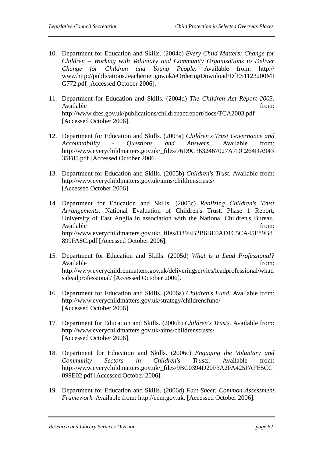- 10. Department for Education and Skills. (2004c) *Every Child Matters: Change for Children – Working with Voluntary and Community Organizations to Deliver Change for Children and Young People.* Available from: http:// www.http://publications.teachernet.gov.uk/eOrderingDownload/DfES1123200MI G772.pdf [Accessed October 2006].
- 11. Department for Education and Skills. (2004d) *The Children Act Report 2003.*  Available from:  $\blacksquare$ http://www.dfes.gov.uk/publications/childrenactreport/docs/TCA2003.pdf [Accessed October 2006].
- 12. Department for Education and Skills. (2005a) *Children's Trust Governance and Accountability - Questions and Answers.* Available from: http://www.everychildmatters.gov.uk/\_files/76D9C3632467027A7DC264DA943 35F85.pdf [Accessed October 2006].
- 13. Department for Education and Skills. (2005b) *Children's Trust*. Available from: http://www.everychildmatters.gov.uk/aims/childrenstrusts/ [Accessed October 2006].
- 14. Department for Education and Skills. (2005c) *Realizing Children's Trust Arrangements*. National Evaluation of Children's Trust, Phase 1 Report, University of East Anglia in association with the National Children's Bureau. Available from: http://www.everychildmatters.gov.uk/\_files/D39EB2B6BE0AD1C5CA45E89B8 899FA8C.pdf [Accessed October 2006].
- 15. Department for Education and Skills. (2005d) *What is a Lead Professional?*  Available from: http://www.everychildrenmatters.gov.uk/deliveringservies/leadprofessional/whati saleadprofessional/ [Accessed October 2006].
- 16. Department for Education and Skills. (2006a) *Children's Fund.* Available from: http://www.everychildmatters.gov.uk/strategy/childrensfund/ [Accessed October 2006].
- 17. Department for Education and Skills. (2006b) *Children's Trusts.* Available from: http://www.everychildmatters.gov.uk/aims/childrenstrusts/ [Accessed October 2006].
- 18. Department for Education and Skills. (2006c) *Engaging the Voluntary and Community Sectors in Children's Trusts.* Available from: http://www.everychildmatters.gov.uk/\_files/9BC0394D20F3A2FA425FAFE5CC 099E02.pdf [Accessed October 2006].
- 19. Department for Education and Skills. (2006d) *Fact Sheet: Common Assessment Framework.* Available from: http://ecm.gov.uk. [Accessed October 2006].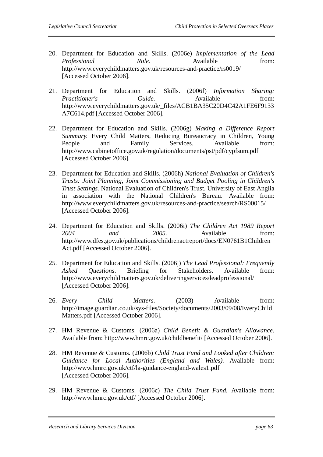- 20. Department for Education and Skills. (2006e) *Implementation of the Lead Professional Role.* Available from: http://www.everychildmatters.gov.uk/resources-and-practice/rs0019/ [Accessed October 2006].
- 21. Department for Education and Skills. (2006f) *Information Sharing: Practitioner's* Guide. Available from: http://www.everychildmatters.gov.uk/\_files/ACB1BA35C20D4C42A1FE6F9133 A7C614.pdf [Accessed October 2006].
- 22. Department for Education and Skills. (2006g) *Making a Difference Report Summary.* Every Child Matters, Reducing Bureaucracy in Children, Young People and Family Services. Available from: http://www.cabinetoffice.gov.uk/regulation/documents/pst/pdf/cypfsum.pdf [Accessed October 2006].
- 23. Department for Education and Skills. (2006h) *National Evaluation of Children's Trusts: Joint Planning, Joint Commissioning and Budget Pooling in Children's Trust Settings.* National Evaluation of Children's Trust. University of East Anglia in association with the National Children's Bureau. Available from: http://www.everychildmatters.gov.uk/resources-and-practice/search/RS00015/ [Accessed October 2006].
- 24. Department for Education and Skills. (2006i) *The Children Act 1989 Report 2004 and 2005.* Available from: http://www.dfes.gov.uk/publications/childrenactreport/docs/EN0761B1Children Act.pdf [Accessed October 2006].
- 25. Department for Education and Skills. (2006j) *The Lead Professional: Frequently Asked Questions*. Briefing for Stakeholders. Available from: http://www.everychildmatters.gov.uk/deliveringservices/leadprofessional/ [Accessed October 2006].
- 26. *Every Child Matters.* (2003) Available from: http://image.guardian.co.uk/sys-files/Society/documents/2003/09/08/EveryChild Matters.pdf [Accessed October 2006].
- 27. HM Revenue & Customs. (2006a) *Child Benefit & Guardian's Allowance.*  Available from: http://www.hmrc.gov.uk/childbenefit/ [Accessed October 2006].
- 28. HM Revenue & Customs. (2006b) *Child Trust Fund and Looked after Children: Guidance for Local Authorities (England and Wales).* Available from: http://www.hmrc.gov.uk/ctf/la-guidance-england-wales1.pdf [Accessed October 2006].
- 29. HM Revenue & Customs. (2006c) *The Child Trust Fund.* Available from: http://www.hmrc.gov.uk/ctf/ [Accessed October 2006].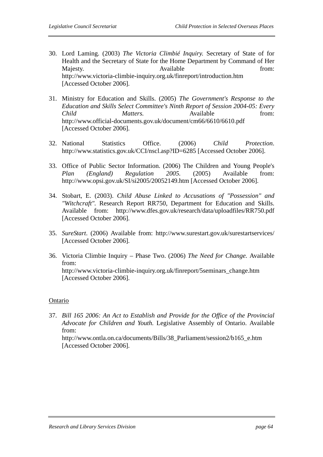- 30. Lord Laming. (2003) *The Victoria Climbié Inquiry.* Secretary of State of for Health and the Secretary of State for the Home Department by Command of Her Majesty. **Available** *Available CON CON CON CON* http://www.victoria-climbie-inquiry.org.uk/finreport/introduction.htm [Accessed October 2006].
- 31. Ministry for Education and Skills. (2005) *The Government's Response to the Education and Skills Select Committee's Ninth Report of Session 2004-05: Every Child Matters.* Available from: http://www.official-documents.gov.uk/document/cm66/6610/6610.pdf [Accessed October 2006].
- 32. National Statistics Office. (2006) *Child Protection*. http://www.statistics.gov.uk/CCI/nscl.asp?ID=6285 [Accessed October 2006].
- 33. Office of Public Sector Information. (2006) The Children and Young People's *Plan (England) Regulation 2005.* (2005) Available from: http://www.opsi.gov.uk/SI/si2005/20052149.htm [Accessed October 2006].
- 34. Stobart, E. (2003). *Child Abuse Linked to Accusations of "Possession" and "Witchcraft".* Research Report RR750, Department for Education and Skills. Available from: http://www.dfes.gov.uk/research/data/uploadfiles/RR750.pdf [Accessed October 2006].
- 35. *SureStart*. (2006) Available from: http://www.surestart.gov.uk/surestartservices/ [Accessed October 2006].
- 36. Victoria Climbie Inquiry Phase Two. (2006) *The Need for Change.* Available from: http://www.victoria-climbie-inquiry.org.uk/finreport/5seminars\_change.htm [Accessed October 2006].

#### Ontario

37. *Bill 165 2006: An Act to Establish and Provide for the Office of the Provincial Advocate for Children and Youth.* Legislative Assembly of Ontario. Available from:

http://www.ontla.on.ca/documents/Bills/38\_Parliament/session2/b165\_e.htm [Accessed October 2006].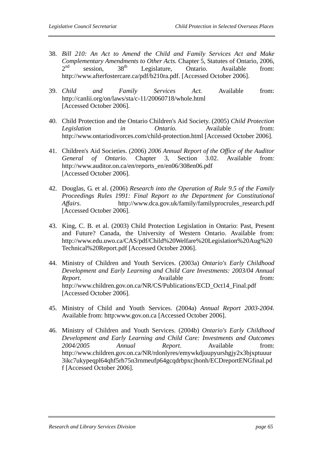- 38. *Bill 210: An Act to Amend the Child and Family Services Act and Make Complementary Amendments to Other Acts.* Chapter 5, Statutes of Ontario, 2006,  $2<sup>nd</sup>$  session,  $38<sup>th</sup>$  Legislature, Ontario. Available from: http://www.afterfostercare.ca/pdf/b210ra.pdf. [Accessed October 2006].
- 39. *Child and Family Services Act.* Available from: http://canlii.org/on/laws/sta/c-11/20060718/whole.html [Accessed October 2006].
- 40. Child Protection and the Ontario Children's Aid Society. (2005) *Child Protection Legislation in Ontario.* Available from: http://www.ontariodivorces.com/child-protection.html [Accessed October 2006].
- 41. Children's Aid Societies. (2006) *2006 Annual Report of the Office of the Auditor General of Ontario*. Chapter 3, Section 3.02. Available from: http://www.auditor.on.ca/en/reports\_en/en06/308en06.pdf [Accessed October 2006].
- 42. Douglas, G. et al. (2006) *Research into the Operation of Rule 9.5 of the Family Proceedings Rules 1991: Final Report to the Department for Constitutional Affairs.* http://www.dca.gov.uk/family/familyprocrules\_research.pdf [Accessed October 2006].
- 43. King, C. B. et al. (2003) Child Protection Legislation in Ontario: Past, Present and Future? Canada, the University of Western Ontario. Available from: http://www.edu.uwo.ca/CAS/pdf/Child%20Welfare%20Legislation%20Aug%20 Technical%20Report.pdf [Accessed October 2006].
- 44. Ministry of Children and Youth Services. (2003a) *Ontario's Early Childhood Development and Early Learning and Child Care Investments: 2003/04 Annual Report.* Available *Available* from: http://www.children.gov.on.ca/NR/CS/Publications/ECD\_Oct14\_Final.pdf [Accessed October 2006].
- 45. Ministry of Child and Youth Services. (2004a) *Annual Report 2003-2004.*  Available from: http:www.gov.on.ca [Accessed October 2006].
- 46. Ministry of Children and Youth Services. (2004b) *Ontario's Early Childhood Development and Early Learning and Child Care: Investments and Outcomes 2004/2005 Annual Report.* Available from: http://www.children.gov.on.ca/NR/rdonlyres/emywkdjuupyurshgjy2x3bjxptuuur 3ikc7ukypeqpl64qhf5rh75n3rnmeufp64gcqdrbpxcjhonh/ECDreportENGfinal.pd f [Accessed October 2006].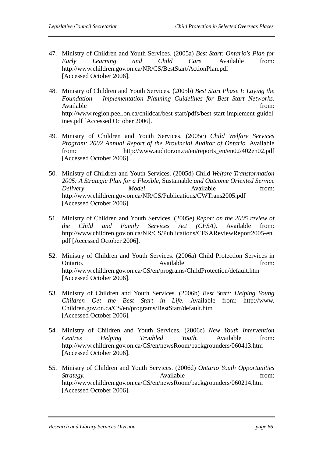- 47. Ministry of Children and Youth Services. (2005a) *Best Start: Ontario's Plan for Early Learning and Child Care.* Available from: http://www.children.gov.on.ca/NR/CS/BestStart/ActionPlan.pdf [Accessed October 2006].
- 48. Ministry of Children and Youth Services. (2005b) *Best Start Phase I: Laying the Foundation – Implementation Planning Guidelines for Best Start Networks.*  Available from:  $\blacksquare$ http://www.region.peel.on.ca/childcar/best-start/pdfs/best-start-implement-guidel ines.pdf [Accessed October 2006].
- 49. Ministry of Children and Youth Services. (2005c) *Child Welfare Services Program: 2002 Annual Report of the Provincial Auditor of Ontario.* Available from: http://www.auditor.on.ca/en/reports\_en/en02/402en02.pdf [Accessed October 2006].
- 50. Ministry of Children and Youth Services. (2005d) Child *Welfare Transformation 2005: A Strategic Plan for a Flexible,* Sustainable *and Outcome Oriented Service Delivery Model*. Available from: http://www.children.gov.on.ca/NR/CS/Publications/CWTrans2005.pdf [Accessed October 2006].
- 51. Ministry of Children and Youth Services. (2005e) *Report on the 2005 review of the Child and Family Services Act (CFSA).* Available from: http://www.children.gov.on.ca/NR/CS/Publications/CFSAReviewReport2005-en. pdf [Accessed October 2006].
- 52. Ministry of Children and Youth Services. (2006a) Child Protection Services in Ontario. Available from:  $\alpha$  Available from: http://www.children.gov.on.ca/CS/en/programs/ChildProtection/default.htm [Accessed October 2006].
- 53. Ministry of Children and Youth Services. (2006b) *Best Start: Helping Young Children Get the Best Start in Life.* Available from: http://www. Children.gov.on.ca/CS/en/programs/BestStart/default.htm [Accessed October 2006].
- 54. Ministry of Children and Youth Services. (2006c) *New Youth Intervention Centres Helping Troubled Youth.* Available from: http://www.children.gov.on.ca/CS/en/newsRoom/backgrounders/060413.htm [Accessed October 2006].
- 55. Ministry of Children and Youth Services. (2006d) *Ontario Youth Opportunities Strategy.* Available from: http://www.children.gov.on.ca/CS/en/newsRoom/backgrounders/060214.htm [Accessed October 2006].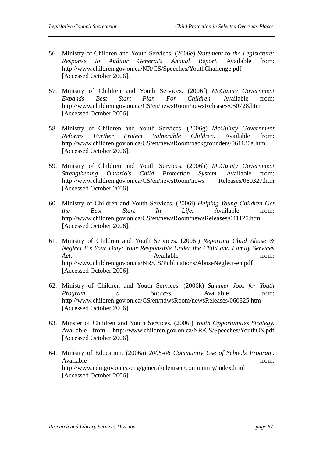- 56. Ministry of Children and Youth Services. (2006e) *Statement to the Legislature: Response to Auditor General's Annual Report.* Available from: http://www.children.gov.on.ca/NR/CS/Speeches/YouthChallenge.pdf [Accessed October 2006].
- 57. Ministry of Children and Youth Services. (2006f) *McGuinty Government Expands Best Start Plan For Children.* Available from: http://www.children.gov.on.ca/CS/en/newsRoom/newsReleases/050728.htm [Accessed October 2006].
- 58. Ministry of Children and Youth Services. (2006g) *McGuinty Government Reforms Further Protect Vulnerable Children.* Available from: http://www.children.gov.on.ca/CS/en/newsRoom/backgrounders/061130a.htm [Accessed October 2006].
- 59. Ministry of Children and Youth Services. (2006h) *McGuinty Government Strengthening Ontario's Child Protection System.* Available from: http://www.children.gov.on.ca/CS/en/newsRoom/news Releases/060327.htm [Accessed October 2006].
- 60. Ministry of Children and Youth Services. (2006i) *Helping Young Children Get the Best Start In Life.* Available from: http://www.children.gov.on.ca/CS/en/newsRoom/newsReleases/041125.htm [Accessed October 2006].
- 61. Ministry of Children and Youth Services. (2006j) *Reporting Child Abuse & Neglect It's Your Duty: Your Responsible Under the Child and Family Services Act*. **Available** *Available from:* http://www.children.gov.on.ca/NR/CS/Publications/AbuseNeglect-en.pdf [Accessed October 2006].
- 62. Ministry of Children and Youth Services. (2006k) *Summer Jobs for Youth Program a* Success. Available from: http://www.children.gov.on.ca/CS/en/ndwsRoom/newsReleases/060825.htm [Accessed October 2006].
- 63. Minster of Children and Youth Services. (2006l) *Youth Opportunities Strategy.*  Available from: http://www.children.gov.on.ca/NR/CS/Speeches/YouthOS.pdf [Accessed October 2006].
- 64. Ministry of Education. (2006a) *2005-06 Community Use of Schools Program.*  Available from: http://www.edu.gov.on.ca/eng/general/elemsec/community/index.html [Accessed October 2006].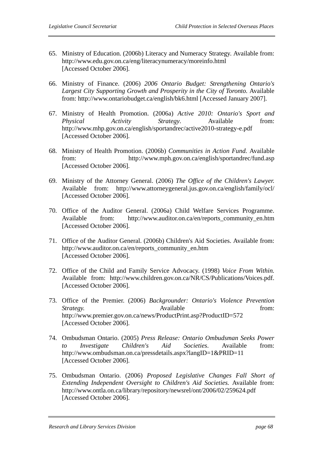- 65. Ministry of Education. (2006b) Literacy and Numeracy Strategy. Available from: http://www.edu.gov.on.ca/eng/literacynumeracy/moreinfo.html [Accessed October 2006].
- 66. Ministry of Finance. (2006) *2006 Ontario Budget: Strengthening Ontario's*  Largest City Supporting Growth and Prosperity in the City of Toronto. Available from: http://www.ontariobudget.ca/english/bk6.html [Accessed January 2007].
- 67. Ministry of Health Promotion. (2006a) *Active 2010: Ontario's Sport and Physical Activity Strategy*. Available from: http://www.mhp.gov.on.ca/english/sportandrec/active2010-strategy-e.pdf [Accessed October 2006].
- 68. Ministry of Health Promotion. (2006b) *Communities in Action Fund.* Available from: http://www.mph.gov.on.ca/english/sportandrec/fund.asp [Accessed October 2006].
- 69. Ministry of the Attorney General. (2006) *The Office of the Children's Lawyer.*  Available from: http://www.attorneygeneral.jus.gov.on.ca/english/family/ocl/ [Accessed October 2006].
- 70. Office of the Auditor General. (2006a) Child Welfare Services Programme. Available from: http://www.auditor.on.ca/en/reports\_community\_en.htm [Accessed October 2006].
- 71. Office of the Auditor General. (2006b) Children's Aid Societies. Available from: http://www.auditor.on.ca/en/reports\_community\_en.htm [Accessed October 2006].
- 72. Office of the Child and Family Service Advocacy. (1998) *Voice From Within.*  Available from: http://www.children.gov.on.ca/NR/CS/Publications/Voices.pdf. [Accessed October 2006].
- 73. Office of the Premier. (2006) *Backgrounder: Ontario's Violence Prevention Strategy.* Available **from:** http://www.premier.gov.on.ca/news/ProductPrint.asp?ProductID=572 [Accessed October 2006].
- 74. Ombudsman Ontario. (2005) *Press Release: Ontario Ombudsman Seeks Power to Investigate Children's Aid Societies*. Available from: http://www.ombudsman.on.ca/pressdetails.aspx?langID=1&PRID=11 [Accessed October 2006].
- 75. Ombudsman Ontario. (2006) *Proposed Legislative Changes Fall Short of Extending Independent Oversight to Children's Aid Societies.* Available from: http://www.ontla.on.ca/library/repository/newsrel/ont/2006/02/259624.pdf [Accessed October 2006].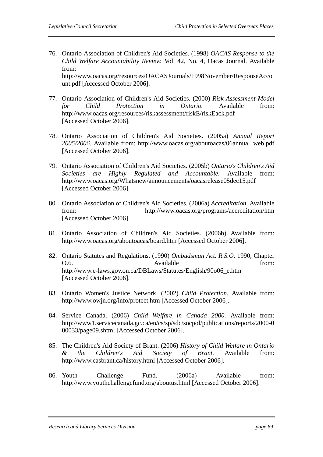76. Ontario Association of Children's Aid Societies. (1998) *OACAS Response to the Child Welfare Accountability Review.* Vol. 42, No. 4, Oacas Journal. Available from:

http://www.oacas.org/resources/OACASJournals/1998November/ResponseAcco unt.pdf [Accessed October 2006].

- 77. Ontario Association of Children's Aid Societies. (2000) *Risk Assessment Model for Child Protection in Ontario.* Available from: http://www.oacas.org/resources/riskassessment/riskE/riskEack.pdf [Accessed October 2006].
- 78. Ontario Association of Children's Aid Societies. (2005a) *Annual Report 2005/2006.* Available from: http://www.oacas.org/aboutoacas/06annual\_web.pdf [Accessed October 2006].
- 79. Ontario Association of Children's Aid Societies. (2005b) *Ontario's Children's Aid Societies are Highly Regulated and Accountable.* Available from: http://www.oacas.org/Whatsnew/announcements/oacasrelease05dec15.pdf [Accessed October 2006].
- 80. Ontario Association of Children's Aid Societies. (2006a) *Accreditation.* Available from: http://www.oacas.org/programs/accreditation/htm [Accessed October 2006].
- 81. Ontario Association of Children's Aid Societies. (2006b) Available from: http://www.oacas.org/aboutoacas/board.htm [Accessed October 2006].
- 82. Ontario Statutes and Regulations. (1990) *Ombudsman Act. R.S.O*. 1990, Chapter O.6. Available from: http://www.e-laws.gov.on.ca/DBLaws/Statutes/English/90o06\_e.htm [Accessed October 2006].
- 83. Ontario Women's Justice Network. (2002) *Child Protection.* Available from: http://www.owjn.org/info/protect.htm [Accessed October 2006].
- 84. Service Canada. (2006) *Child Welfare in Canada 2000.* Available from: http://www1.servicecanada.gc.ca/en/cs/sp/sdc/socpol/publications/reports/2000-0 00033/page09.shtml [Accessed October 2006].
- 85. The Children's Aid Society of Brant. (2006) *History of Child Welfare in Ontario & the Children's Aid Society of Brant.* Available from: http://www.casbrant.ca/history.html [Accessed October 2006].
- 86. Youth Challenge Fund. (2006a) Available from: http://www.youthchallengefund.org/aboutus.html [Accessed October 2006].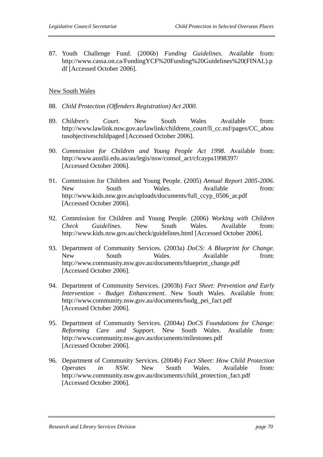87. Youth Challenge Fund. (2006b) *Funding Guidelines*. Available from: http://www.cassa.on.ca/FundingYCF%20Funding%20Guidelines%20(FINAL).p df [Accessed October 2006].

## New South Wales

- 88. *Child Protection (Offenders Registration) Act 2000.*
- 89. *Children's Court*. New South Wales Available from: http://www.lawlink.nsw.gov.au/lawlink/childrens\_court/ll\_cc.nsf/pages/CC\_abou tusobjectiveschildpaged [Accessed October 2006].
- 90. *Commission for Children and Young People Act 1998*. Available from: http://www.austlii.edu.au/au/legis/nsw/consol\_act/cfcaypa1998397/ [Accessed October 2006].
- 91. Commission for Children and Young People. (2005) *Annual Report 2005-2006.* New South Wales. Available from: http://www.kids.nsw.gov.au/uploads/documents/full\_ccyp\_0506\_ar.pdf [Accessed October 2006].
- 92. Commission for Children and Young People. (2006) *Working with Children Check Guidelines.* New South Wales. Available from: http://www.kids.nsw.gov.au/check/guidelines.html [Accessed October 2006].
- 93. Department of Community Services. (2003a) *DoCS: A Blueprint for Change.* New South Wales. Available from: http://www.community.nsw.gov.au/documents/blueprint\_change.pdf [Accessed October 2006].
- 94. Department of Community Services. (2003b) *Fact Sheet: Prevention and Early Intervention - Budget Enhancement.* New South Wales. Available from: http://www.community.nsw.gov.au/documents/budg\_pei\_fact.pdf [Accessed October 2006].
- 95. Department of Community Services. (2004a) *DoCS Foundations for Change: Reforming Care and Support.* New South Wales. Available from: http://www.community.nsw.gov.au/documents/milestones.pdf [Accessed October 2006].
- 96. Department of Community Services. (2004b) *Fact Sheet: How Child Protection Operates in NSW.* New South Wales. Available from: http://www.community.nsw.gov.au/documents/child\_protection\_fact.pdf [Accessed October 2006].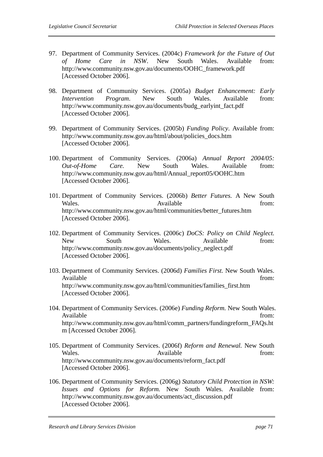- 97. Department of Community Services. (2004c) *Framework for the Future of Out of Home Care in NSW*. New South Wales. Available from: http://www.community.nsw.gov.au/documents/OOHC\_framework.pdf [Accessed October 2006].
- 98. Department of Community Services. (2005a) *Budget Enhancement: Early Intervention Program*. New South Wales. Available from: http://www.community.nsw.gov.au/documents/budg\_earlyint\_fact.pdf [Accessed October 2006].
- 99. Department of Community Services. (2005b) *Funding Policy*. Available from: http://www.community.nsw.gov.au/html/about/policies\_docs.htm [Accessed October 2006].
- 100. Department of Community Services. (2006a) *Annual Report 2004/05: Out-of-Home Care.* New South Wales. Available from: http://www.community.nsw.gov.au/html/Annual\_report05/OOHC.htm [Accessed October 2006].
- 101. Department of Community Services. (2006b) *Better Futures.* A New South Wales. Available **Available** from: http://www.community.nsw.gov.au/html/communities/better\_futures.htm [Accessed October 2006].
- 102. Department of Community Services. (2006c) *DoCS: Policy on Child Neglect.* New South Wales. Available from: http://www.community.nsw.gov.au/documents/policy\_neglect.pdf [Accessed October 2006].
- 103. Department of Community Services. (2006d) *Families First.* New South Wales. Available from:  $\blacksquare$ http://www.community.nsw.gov.au/html/communities/families\_first.htm [Accessed October 2006].
- 104. Department of Community Services. (2006e) *Funding Reform.* New South Wales. Available from: http://www.community.nsw.gov.au/html/comm\_partners/fundingreform\_FAQs.ht m [Accessed October 2006].
- 105. Department of Community Services. (2006f) *Reform and Renewal.* New South Wales. Available from: http://www.community.nsw.gov.au/documents/reform\_fact.pdf [Accessed October 2006].
- 106. Department of Community Services. (2006g) *Statutory Child Protection in NSW: Issues and Options for Reform.* New South Wales. Available from: http://www.community.nsw.gov.au/documents/act\_discussion.pdf [Accessed October 2006].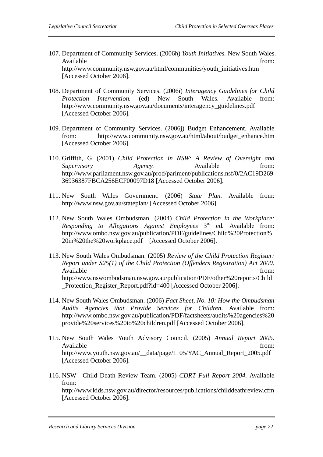- 107. Department of Community Services. (2006h) *Youth Initiatives.* New South Wales. Available from: http://www.community.nsw.gov.au/html/communities/youth\_initiatives.htm [Accessed October 2006].
- 108. Department of Community Services. (2006i) *Interagency Guidelines for Child Protection Intervention.* (ed) New South Wales. Available from: http://www.community.nsw.gov.au/documents/interagency\_guidelines.pdf [Accessed October 2006].
- 109. Department of Community Services. (2006j) Budget Enhancement. Available from: http://www.community.nsw.gov.au/html/about/budget\_enhance.htm [Accessed October 2006].
- 110. Griffith, G. (2001) *Child Protection in NSW: A Review of Oversight and Supervisory Agency*. Available from: http://www.parliament.nsw.gov.au/prod/parlment/publications.nsf/0/2AC19D269 36936387FBCA256ECF00097D18 [Accessed October 2006].
- 111. New South Wales Government. (2006) *State Plan.* Available from: http://www.nsw.gov.au/stateplan/ [Accessed October 2006].
- 112. New South Wales Ombudsman. (2004) *Child Protection in the Workplace: Responding to Allegations Against Employees* 3rd ed*.* Available from: http://www.ombo.nsw.gov.au/publication/PDF/guidelines/Child%20Protection% 20in%20the%20workplace.pdf [Accessed October 2006].
- 113. New South Wales Ombudsman. (2005) *Review of the Child Protection Register: Report under S25(1) of the Child Protection (Offenders Registration) Act 2000.*  Available from: http://www.nswombudsman.nsw.gov.au/publication/PDF/other%20reports/Child \_Protection\_Register\_Report.pdf?id=400 [Accessed October 2006].
- 114. New South Wales Ombudsman. (2006) *Fact Sheet, No. 10: How the Ombudsman Audits Agencies that Provide Services for Children.* Available from: http://www.ombo.nsw.gov.au/publication/PDF/factsheets/audits%20agencies%20 provide%20services%20to%20children.pdf [Accessed October 2006].
- 115. New South Wales Youth Advisory Council. (2005) *Annual Report 2005.*  Available from: http://www.youth.nsw.gov.au/\_\_data/page/1105/YAC\_Annual\_Report\_2005.pdf [Accessed October 2006].
- 116. NSW Child Death Review Team. (2005) *CDRT Full Report 2004*. Available from:

http://www.kids.nsw.gov.au/director/resources/publications/childdeathreview.cfm [Accessed October 2006].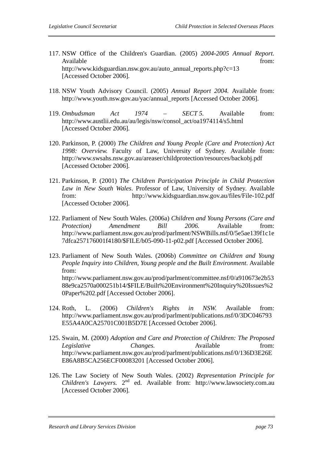- 117. NSW Office of the Children's Guardian. (2005) *2004-2005 Annual Report.*  Available from: http://www.kidsguardian.nsw.gov.au/auto\_annual\_reports.php?c=13 [Accessed October 2006].
- 118. NSW Youth Advisory Council. (2005) *Annual Report 2004.* Available from: http://www.youth.nsw.gov.au/yac/annual\_reports [Accessed October 2006].
- 119. *Ombudsman Act 1974 SECT 5.* Available from: http://www.austlii.edu.au/au/legis/nsw/consol\_act/oa1974114/s5.html [Accessed October 2006].
- 120. Parkinson, P. (2000) *The Children and Young People (Care and Protection) Act 1998: Overview.* Faculty of Law, University of Sydney. Available from: http://www.swsahs.nsw.gov.au/areaser/childprotection/resources/backobj.pdf [Accessed October 2006].
- 121. Parkinson, P. (2001) *The Children Participation Principle in Child Protection Law in New South Wales*. Professor of Law, University of Sydney. Available from: http://www.kidsguardian.nsw.gov.au/files/File-102.pdf [Accessed October 2006].
- 122. Parliament of New South Wales. (2006a) *Children and Young Persons (Care and Protection) Amendment Bill 2006.* Available from: http://www.parliament.nsw.gov.au/prod/parlment/NSWBills.nsf/0/5e5ae139f1c1e 7dfca257176001f4180/\$FILE/b05-090-11-p02.pdf [Accessed October 2006].
- 123. Parliament of New South Wales. (2006b) *Committee on Children and Young People Inquiry into Children, Young people and the Built Environment*. Available from: http://www.parliament.nsw.gov.au/prod/parlment/committee.nsf/0/a910673e2b53 88e9ca2570a000251b14/\$FILE/Built%20Environment%20Inquiry%20Issues%2 0Paper%202.pdf [Accessed October 2006].
- 124. Roth, L. (2006) *Children's Rights in NSW.* Available from: http://www.parliament.nsw.gov.au/prod/parlment/publications.nsf/0/3DC046793 E55A4A0CA25701C001B5D7E [Accessed October 2006].
- 125. Swain, M. (2000) *Adoption and Care and Protection of Children: The Proposed Legislative Changes.* Available from: http://www.parliament.nsw.gov.au/prod/parlment/publications.nsf/0/136D3E26E E86A8B5CA256ECF00083201 [Accessed October 2006].
- 126. The Law Society of New South Wales. (2002) *Representation Principle for Children's Lawyers.* 2nd ed. Available from: http://www.lawsociety.com.au [Accessed October 2006].